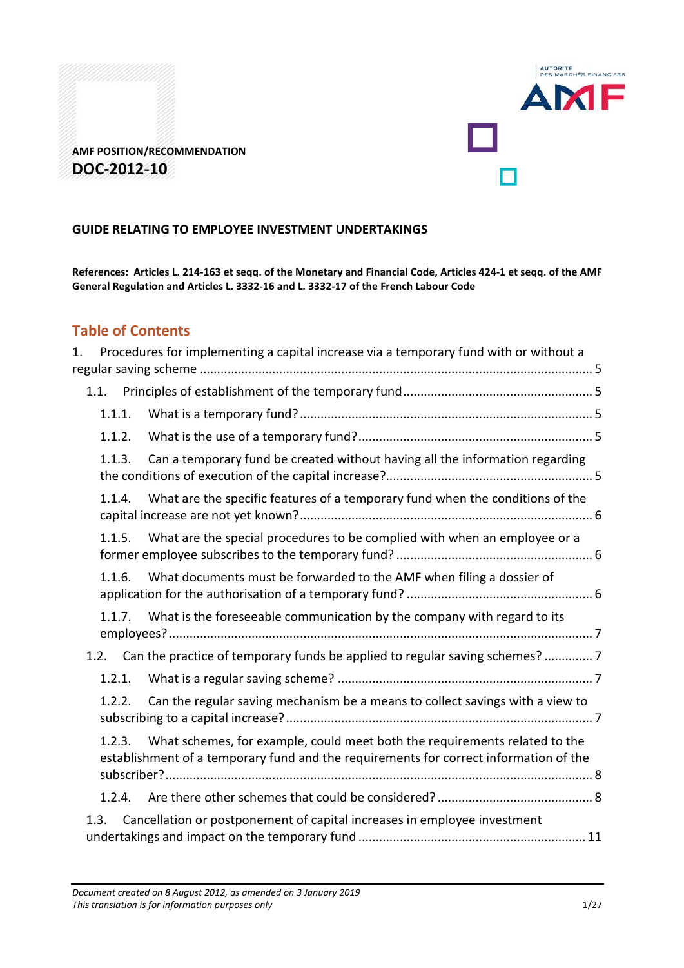

**AMF POSITION/RECOMMENDATION DOC-2012-10** 

# **GUIDE RELATING TO EMPLOYEE INVESTMENT UNDERTAKINGS**

**References: Articles L. 214-163 et seqq. of the Monetary and Financial Code, Articles 424-1 et seqq. of the AMF General Regulation and Articles L. 3332-16 and L. 3332-17 of the French Labour Code** 

# **Table of Contents**

| 1. |        | Procedures for implementing a capital increase via a temporary fund with or without a                                                                               |  |
|----|--------|---------------------------------------------------------------------------------------------------------------------------------------------------------------------|--|
|    |        |                                                                                                                                                                     |  |
|    | 1.1.1. |                                                                                                                                                                     |  |
|    | 1.1.2. |                                                                                                                                                                     |  |
|    | 1.1.3. | Can a temporary fund be created without having all the information regarding                                                                                        |  |
|    | 1.1.4. | What are the specific features of a temporary fund when the conditions of the                                                                                       |  |
|    | 1.1.5. | What are the special procedures to be complied with when an employee or a                                                                                           |  |
|    | 1.1.6. | What documents must be forwarded to the AMF when filing a dossier of                                                                                                |  |
|    |        | 1.1.7. What is the foreseeable communication by the company with regard to its                                                                                      |  |
|    |        | 1.2. Can the practice of temporary funds be applied to regular saving schemes? 7                                                                                    |  |
|    | 1.2.1. |                                                                                                                                                                     |  |
|    | 1.2.2. | Can the regular saving mechanism be a means to collect savings with a view to                                                                                       |  |
|    | 1.2.3. | What schemes, for example, could meet both the requirements related to the<br>establishment of a temporary fund and the requirements for correct information of the |  |
|    | 1.2.4. |                                                                                                                                                                     |  |
|    | 1.3.   | Cancellation or postponement of capital increases in employee investment                                                                                            |  |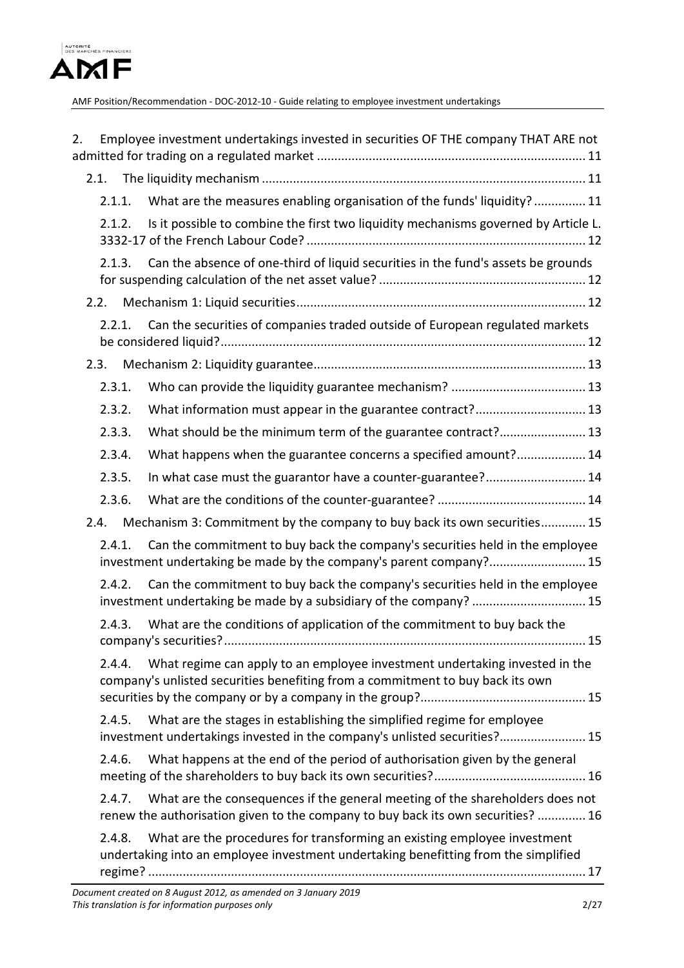

| 2.     | Employee investment undertakings invested in securities OF THE company THAT ARE not                                                                               |
|--------|-------------------------------------------------------------------------------------------------------------------------------------------------------------------|
|        |                                                                                                                                                                   |
| 2.1.1. | What are the measures enabling organisation of the funds' liquidity?  11                                                                                          |
| 2.1.2. | Is it possible to combine the first two liquidity mechanisms governed by Article L.                                                                               |
| 2.1.3. | Can the absence of one-third of liquid securities in the fund's assets be grounds                                                                                 |
| 2.2.   |                                                                                                                                                                   |
| 2.2.1. | Can the securities of companies traded outside of European regulated markets                                                                                      |
| 2.3.   |                                                                                                                                                                   |
| 2.3.1. |                                                                                                                                                                   |
| 2.3.2. | What information must appear in the guarantee contract? 13                                                                                                        |
| 2.3.3. | What should be the minimum term of the guarantee contract? 13                                                                                                     |
| 2.3.4. | What happens when the guarantee concerns a specified amount? 14                                                                                                   |
| 2.3.5. | In what case must the guarantor have a counter-guarantee? 14                                                                                                      |
| 2.3.6. |                                                                                                                                                                   |
| 2.4.   | Mechanism 3: Commitment by the company to buy back its own securities 15                                                                                          |
| 2.4.1. | Can the commitment to buy back the company's securities held in the employee<br>investment undertaking be made by the company's parent company? 15                |
| 2.4.2. | Can the commitment to buy back the company's securities held in the employee<br>investment undertaking be made by a subsidiary of the company?  15                |
| 2.4.3. | What are the conditions of application of the commitment to buy back the                                                                                          |
| 2.4.4. | What regime can apply to an employee investment undertaking invested in the<br>company's unlisted securities benefiting from a commitment to buy back its own     |
| 2.4.5. | What are the stages in establishing the simplified regime for employee<br>investment undertakings invested in the company's unlisted securities? 15               |
| 2.4.6. | What happens at the end of the period of authorisation given by the general                                                                                       |
| 2.4.7. | What are the consequences if the general meeting of the shareholders does not<br>renew the authorisation given to the company to buy back its own securities?  16 |
| 2.4.8. | What are the procedures for transforming an existing employee investment<br>undertaking into an employee investment undertaking benefitting from the simplified   |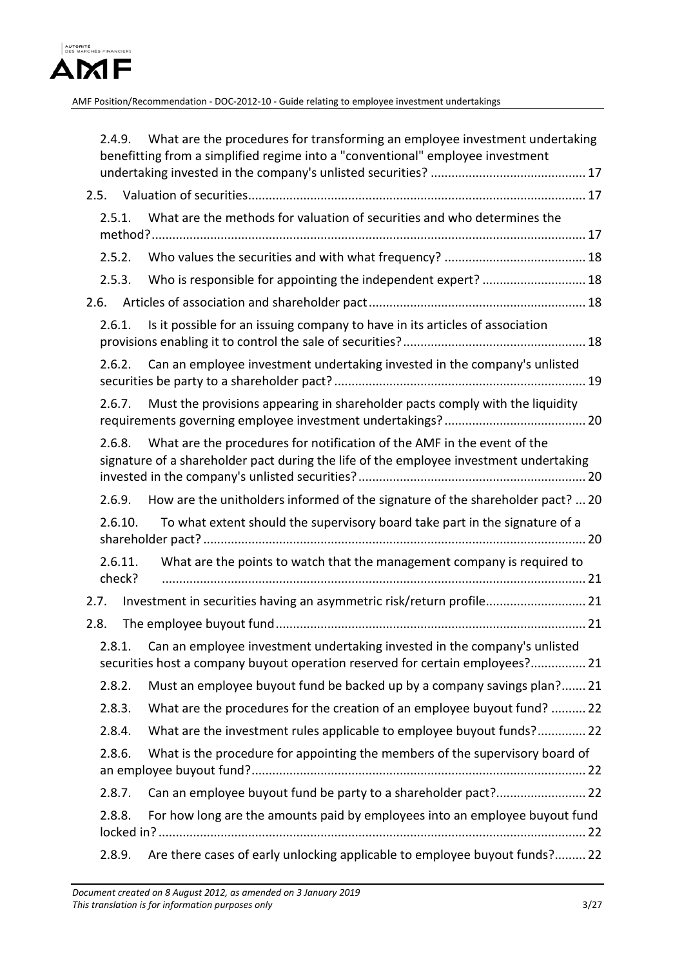

|      |                   | 2.4.9. What are the procedures for transforming an employee investment undertaking<br>benefitting from a simplified regime into a "conventional" employee investment |  |
|------|-------------------|----------------------------------------------------------------------------------------------------------------------------------------------------------------------|--|
|      |                   |                                                                                                                                                                      |  |
|      | 2.5.1.            | What are the methods for valuation of securities and who determines the                                                                                              |  |
|      |                   |                                                                                                                                                                      |  |
|      | 2.5.2.            |                                                                                                                                                                      |  |
|      | 2.5.3.            | Who is responsible for appointing the independent expert?  18                                                                                                        |  |
| 2.6. |                   |                                                                                                                                                                      |  |
|      | 2.6.1.            | Is it possible for an issuing company to have in its articles of association                                                                                         |  |
|      | 2.6.2.            | Can an employee investment undertaking invested in the company's unlisted                                                                                            |  |
|      | 2.6.7.            | Must the provisions appearing in shareholder pacts comply with the liquidity                                                                                         |  |
|      | 2.6.8.            | What are the procedures for notification of the AMF in the event of the<br>signature of a shareholder pact during the life of the employee investment undertaking    |  |
|      |                   | 2.6.9. How are the unitholders informed of the signature of the shareholder pact?  20                                                                                |  |
|      | 2.6.10.           | To what extent should the supervisory board take part in the signature of a                                                                                          |  |
|      | 2.6.11.<br>check? | What are the points to watch that the management company is required to                                                                                              |  |
|      | 2.7.              | Investment in securities having an asymmetric risk/return profile 21                                                                                                 |  |
| 2.8. |                   |                                                                                                                                                                      |  |
|      |                   | 2.8.1. Can an employee investment undertaking invested in the company's unlisted<br>securities host a company buyout operation reserved for certain employees? 21    |  |
|      | 2.8.2.            | Must an employee buyout fund be backed up by a company savings plan? 21                                                                                              |  |
|      | 2.8.3.            | What are the procedures for the creation of an employee buyout fund?  22                                                                                             |  |
|      | 2.8.4.            | What are the investment rules applicable to employee buyout funds? 22                                                                                                |  |
|      | 2.8.6.            | What is the procedure for appointing the members of the supervisory board of                                                                                         |  |
|      | 2.8.7.            |                                                                                                                                                                      |  |
|      | 2.8.8.            | For how long are the amounts paid by employees into an employee buyout fund                                                                                          |  |
|      | 2.8.9.            | Are there cases of early unlocking applicable to employee buyout funds? 22                                                                                           |  |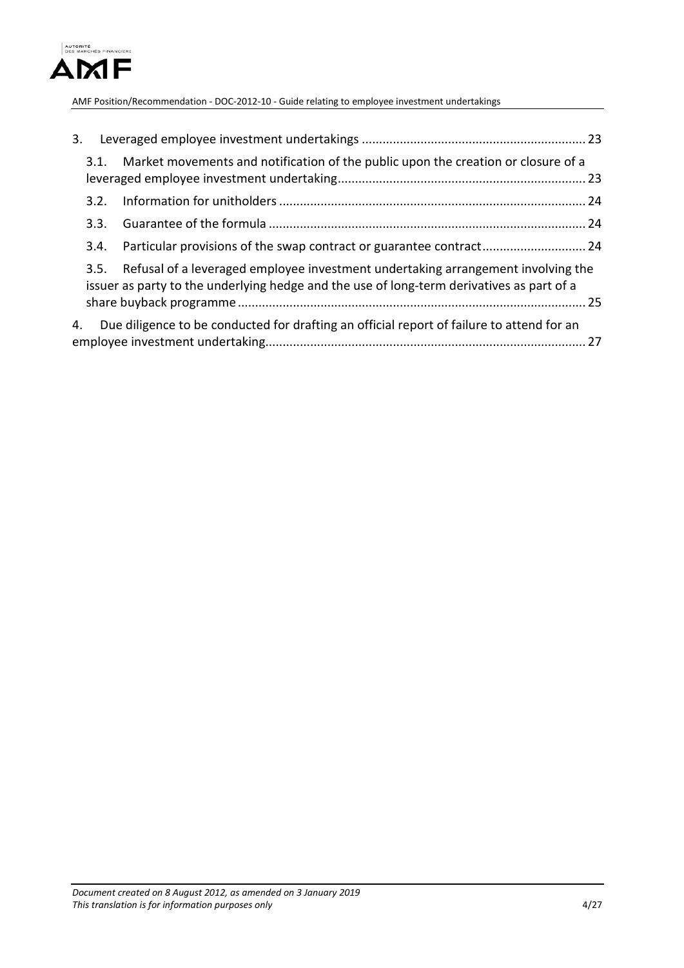

| 3. |      |                                                                                                                                                                               |  |
|----|------|-------------------------------------------------------------------------------------------------------------------------------------------------------------------------------|--|
|    | 3.1. | Market movements and notification of the public upon the creation or closure of a                                                                                             |  |
|    | 3.2. |                                                                                                                                                                               |  |
|    | 3.3. |                                                                                                                                                                               |  |
|    | 3.4. |                                                                                                                                                                               |  |
|    | 3.5. | Refusal of a leveraged employee investment undertaking arrangement involving the<br>issuer as party to the underlying hedge and the use of long-term derivatives as part of a |  |
| 4. |      | Due diligence to be conducted for drafting an official report of failure to attend for an                                                                                     |  |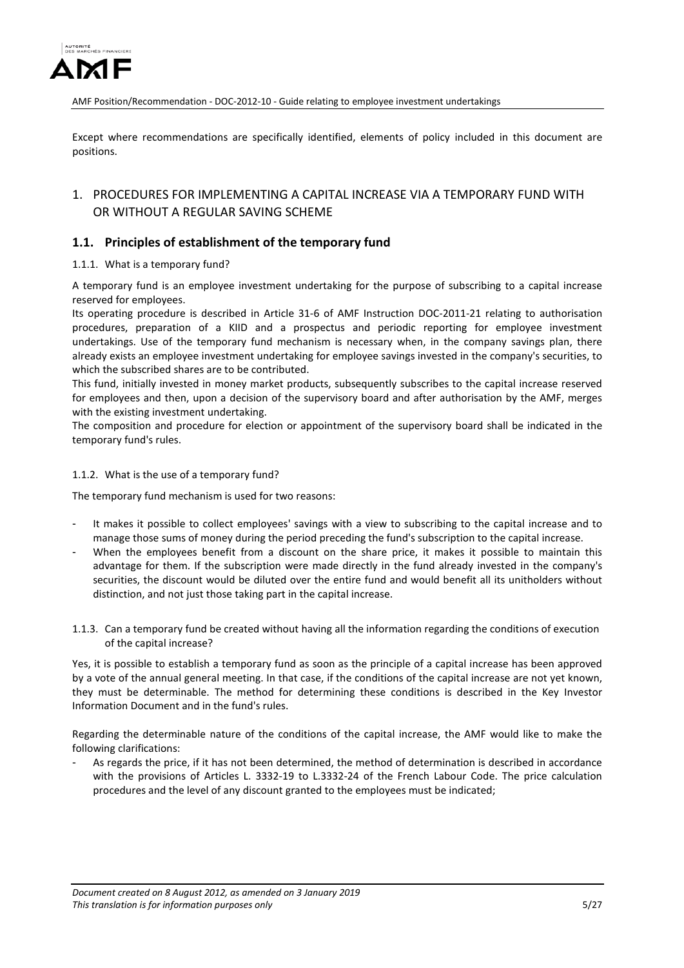

Except where recommendations are specifically identified, elements of policy included in this document are positions.

# <span id="page-4-0"></span>1. PROCEDURES FOR IMPLEMENTING A CAPITAL INCREASE VIA A TEMPORARY FUND WITH OR WITHOUT A REGULAR SAVING SCHEME

### <span id="page-4-1"></span>**1.1. Principles of establishment of the temporary fund**

### <span id="page-4-2"></span>1.1.1. What is a temporary fund?

A temporary fund is an employee investment undertaking for the purpose of subscribing to a capital increase reserved for employees.

Its operating procedure is described in Article 31-6 of AMF Instruction DOC-2011-21 relating to authorisation procedures, preparation of a KIID and a prospectus and periodic reporting for employee investment undertakings. Use of the temporary fund mechanism is necessary when, in the company savings plan, there already exists an employee investment undertaking for employee savings invested in the company's securities, to which the subscribed shares are to be contributed.

This fund, initially invested in money market products, subsequently subscribes to the capital increase reserved for employees and then, upon a decision of the supervisory board and after authorisation by the AMF, merges with the existing investment undertaking.

The composition and procedure for election or appointment of the supervisory board shall be indicated in the temporary fund's rules.

### <span id="page-4-3"></span>1.1.2. What is the use of a temporary fund?

The temporary fund mechanism is used for two reasons:

- It makes it possible to collect employees' savings with a view to subscribing to the capital increase and to manage those sums of money during the period preceding the fund's subscription to the capital increase.
- When the employees benefit from a discount on the share price, it makes it possible to maintain this advantage for them. If the subscription were made directly in the fund already invested in the company's securities, the discount would be diluted over the entire fund and would benefit all its unitholders without distinction, and not just those taking part in the capital increase.
- <span id="page-4-4"></span>1.1.3. Can a temporary fund be created without having all the information regarding the conditions of execution of the capital increase?

Yes, it is possible to establish a temporary fund as soon as the principle of a capital increase has been approved by a vote of the annual general meeting. In that case, if the conditions of the capital increase are not yet known, they must be determinable. The method for determining these conditions is described in the Key Investor Information Document and in the fund's rules.

Regarding the determinable nature of the conditions of the capital increase, the AMF would like to make the following clarifications:

As regards the price, if it has not been determined, the method of determination is described in accordance with the provisions of Articles L. 3332-19 to L.3332-24 of the French Labour Code. The price calculation procedures and the level of any discount granted to the employees must be indicated;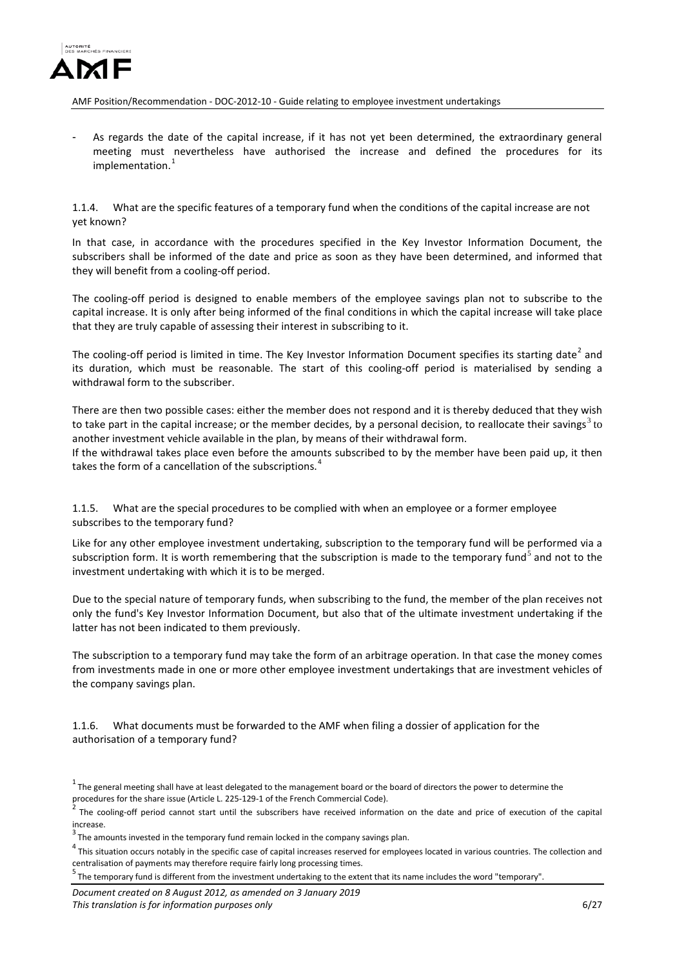

As regards the date of the capital increase, if it has not yet been determined, the extraordinary general meeting must nevertheless have authorised the increase and defined the procedures for its implementation. [1](#page-5-3)

<span id="page-5-0"></span>1.1.4. What are the specific features of a temporary fund when the conditions of the capital increase are not yet known?

In that case, in accordance with the procedures specified in the Key Investor Information Document, the subscribers shall be informed of the date and price as soon as they have been determined, and informed that they will benefit from a cooling-off period.

The cooling-off period is designed to enable members of the employee savings plan not to subscribe to the capital increase. It is only after being informed of the final conditions in which the capital increase will take place that they are truly capable of assessing their interest in subscribing to it.

The cooling-off period is limited in time. The Key Investor Information Document specifies its starting date<sup>[2](#page-5-4)</sup> and its duration, which must be reasonable. The start of this cooling-off period is materialised by sending a withdrawal form to the subscriber.

There are then two possible cases: either the member does not respond and it is thereby deduced that they wish to take part in the capital increase; or the member decides, by a personal decision, to reallocate their savings<sup>[3](#page-5-5)</sup> to another investment vehicle available in the plan, by means of their withdrawal form.

If the withdrawal takes place even before the amounts subscribed to by the member have been paid up, it then takes the form of a cancellation of the subscriptions.<sup>[4](#page-5-6)</sup>

<span id="page-5-1"></span>1.1.5. What are the special procedures to be complied with when an employee or a former employee subscribes to the temporary fund?

Like for any other employee investment undertaking, subscription to the temporary fund will be performed via a subscription form. It is worth remembering that the subscription is made to the temporary fund<sup>[5](#page-5-7)</sup> and not to the investment undertaking with which it is to be merged.

Due to the special nature of temporary funds, when subscribing to the fund, the member of the plan receives not only the fund's Key Investor Information Document, but also that of the ultimate investment undertaking if the latter has not been indicated to them previously.

The subscription to a temporary fund may take the form of an arbitrage operation. In that case the money comes from investments made in one or more other employee investment undertakings that are investment vehicles of the company savings plan.

<span id="page-5-2"></span>1.1.6. What documents must be forwarded to the AMF when filing a dossier of application for the authorisation of a temporary fund?

<span id="page-5-3"></span> $1$  The general meeting shall have at least delegated to the management board or the board of directors the power to determine the

<span id="page-5-4"></span>procedures for the share issue (Article L. 225-129-1 of the French Commercial Code).<br><sup>2</sup> The cooling-off period cannot start until the subscribers have received information on the date and price of execution of the capita increase.

<span id="page-5-5"></span> $3$  The amounts invested in the temporary fund remain locked in the company savings plan.

<span id="page-5-6"></span> $^4$  This situation occurs notably in the specific case of capital increases reserved for employees located in various countries. The collection and centralisation of payments may therefore require fairly long processing times. <sup>5</sup>

<span id="page-5-7"></span> $5$  The temporary fund is different from the investment undertaking to the extent that its name includes the word "temporary"

*Document created on 8 August 2012, as amended on 3 January 2019 This translation is for information purposes only* 6/27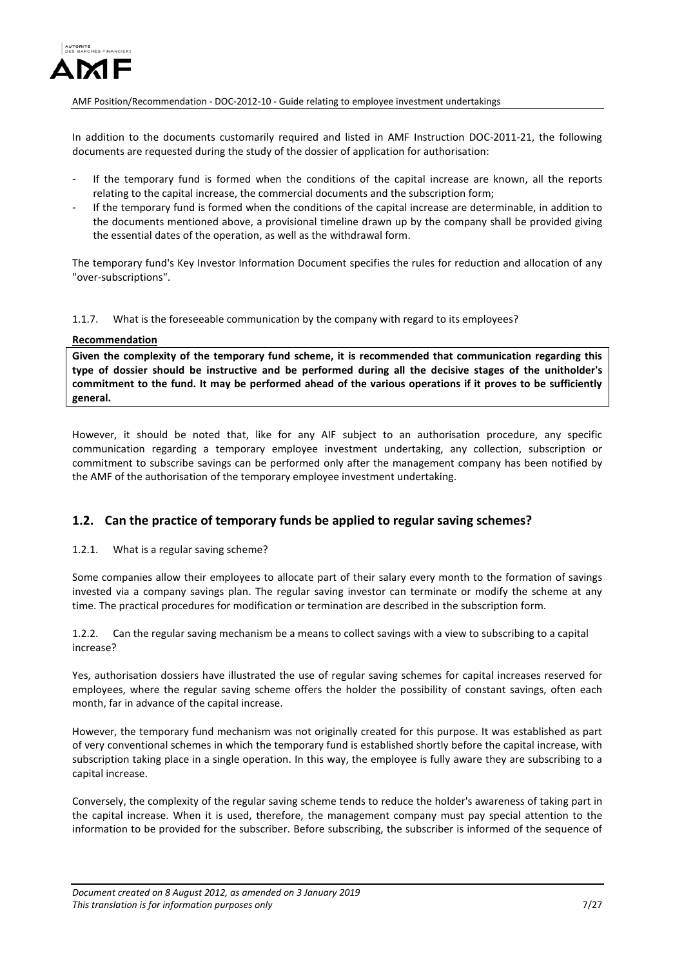

In addition to the documents customarily required and listed in AMF Instruction DOC-2011-21, the following documents are requested during the study of the dossier of application for authorisation:

- If the temporary fund is formed when the conditions of the capital increase are known, all the reports relating to the capital increase, the commercial documents and the subscription form;
- If the temporary fund is formed when the conditions of the capital increase are determinable, in addition to the documents mentioned above, a provisional timeline drawn up by the company shall be provided giving the essential dates of the operation, as well as the withdrawal form.

The temporary fund's Key Investor Information Document specifies the rules for reduction and allocation of any "over-subscriptions".

<span id="page-6-0"></span>1.1.7. What is the foreseeable communication by the company with regard to its employees?

### **Recommendation**

**Given the complexity of the temporary fund scheme, it is recommended that communication regarding this type of dossier should be instructive and be performed during all the decisive stages of the unitholder's commitment to the fund. It may be performed ahead of the various operations if it proves to be sufficiently general.**

However, it should be noted that, like for any AIF subject to an authorisation procedure, any specific communication regarding a temporary employee investment undertaking, any collection, subscription or commitment to subscribe savings can be performed only after the management company has been notified by the AMF of the authorisation of the temporary employee investment undertaking.

### <span id="page-6-1"></span>**1.2. Can the practice of temporary funds be applied to regular saving schemes?**

<span id="page-6-2"></span>1.2.1. What is a regular saving scheme?

Some companies allow their employees to allocate part of their salary every month to the formation of savings invested via a company savings plan. The regular saving investor can terminate or modify the scheme at any time. The practical procedures for modification or termination are described in the subscription form.

<span id="page-6-3"></span>1.2.2. Can the regular saving mechanism be a means to collect savings with a view to subscribing to a capital increase?

Yes, authorisation dossiers have illustrated the use of regular saving schemes for capital increases reserved for employees, where the regular saving scheme offers the holder the possibility of constant savings, often each month, far in advance of the capital increase.

However, the temporary fund mechanism was not originally created for this purpose. It was established as part of very conventional schemes in which the temporary fund is established shortly before the capital increase, with subscription taking place in a single operation. In this way, the employee is fully aware they are subscribing to a capital increase.

Conversely, the complexity of the regular saving scheme tends to reduce the holder's awareness of taking part in the capital increase. When it is used, therefore, the management company must pay special attention to the information to be provided for the subscriber. Before subscribing, the subscriber is informed of the sequence of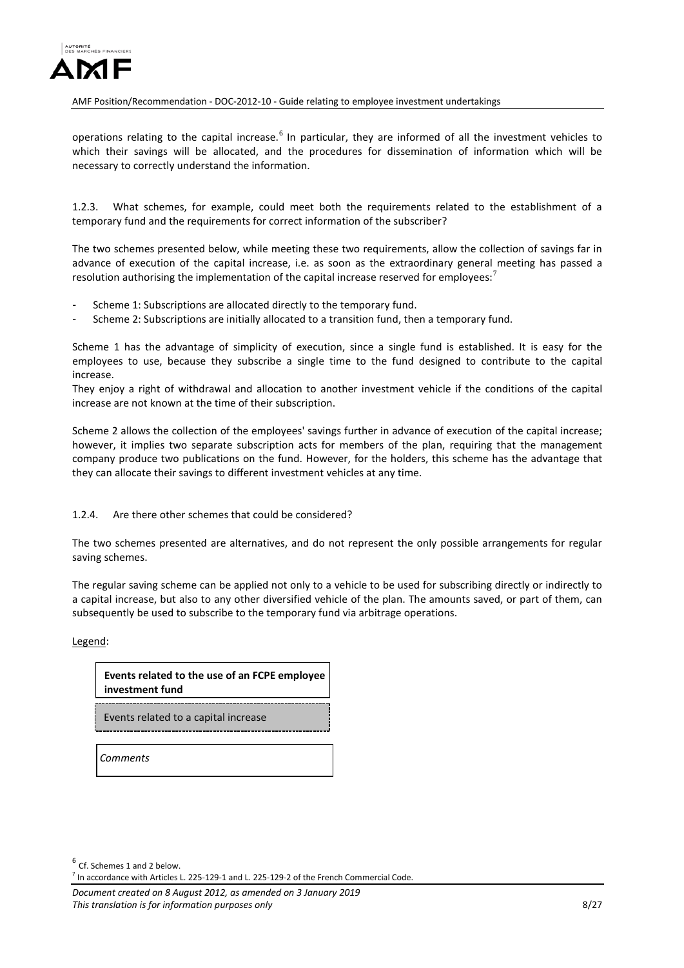

operations relating to the capital increase.<sup>[6](#page-7-2)</sup> In particular, they are informed of all the investment vehicles to which their savings will be allocated, and the procedures for dissemination of information which will be necessary to correctly understand the information.

<span id="page-7-0"></span>1.2.3. What schemes, for example, could meet both the requirements related to the establishment of a temporary fund and the requirements for correct information of the subscriber?

The two schemes presented below, while meeting these two requirements, allow the collection of savings far in advance of execution of the capital increase, i.e. as soon as the extraordinary general meeting has passed a resolution authorising the implementation of the capital increase reserved for employees:<sup>[7](#page-7-3)</sup>

- Scheme 1: Subscriptions are allocated directly to the temporary fund.
- Scheme 2: Subscriptions are initially allocated to a transition fund, then a temporary fund.

Scheme 1 has the advantage of simplicity of execution, since a single fund is established. It is easy for the employees to use, because they subscribe a single time to the fund designed to contribute to the capital increase.

They enjoy a right of withdrawal and allocation to another investment vehicle if the conditions of the capital increase are not known at the time of their subscription.

Scheme 2 allows the collection of the employees' savings further in advance of execution of the capital increase; however, it implies two separate subscription acts for members of the plan, requiring that the management company produce two publications on the fund. However, for the holders, this scheme has the advantage that they can allocate their savings to different investment vehicles at any time.

### <span id="page-7-1"></span>1.2.4. Are there other schemes that could be considered?

The two schemes presented are alternatives, and do not represent the only possible arrangements for regular saving schemes.

The regular saving scheme can be applied not only to a vehicle to be used for subscribing directly or indirectly to a capital increase, but also to any other diversified vehicle of the plan. The amounts saved, or part of them, can subsequently be used to subscribe to the temporary fund via arbitrage operations.

Legend:

**Events related to the use of an FCPE employee investment fund**

Events related to a capital increase

*Comments*

<span id="page-7-2"></span> $<sup>6</sup>$  Cf. Schemes 1 and 2 below.</sup>

 $<sup>7</sup>$  In accordance with Articles L. 225-129-1 and L. 225-129-2 of the French Commercial Code.</sup>

<span id="page-7-3"></span>*Document created on 8 August 2012, as amended on 3 January 2019 This translation is for information purposes only* 8/27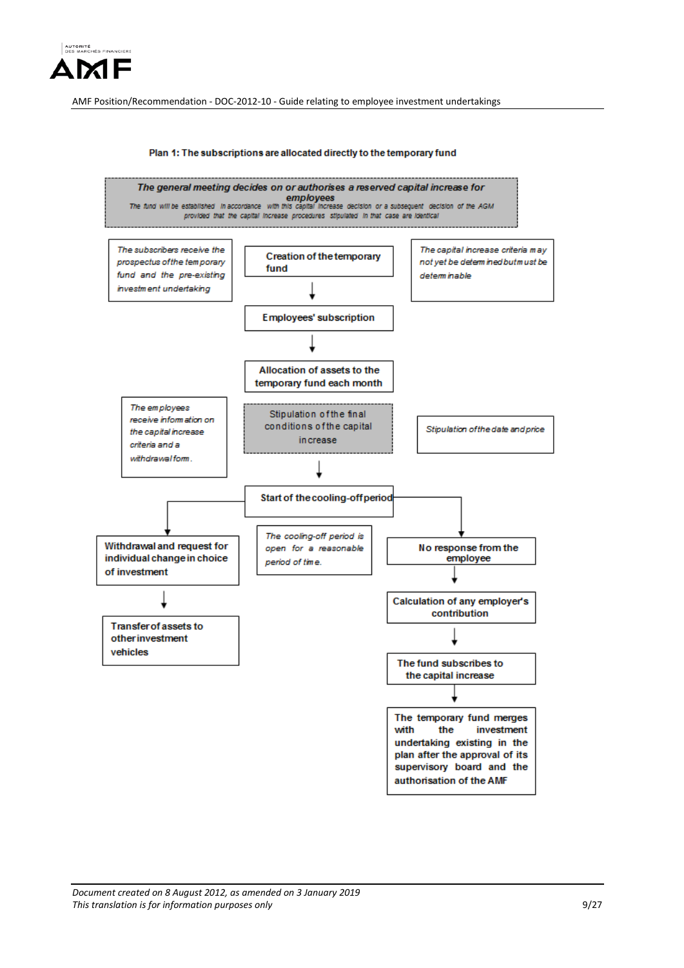



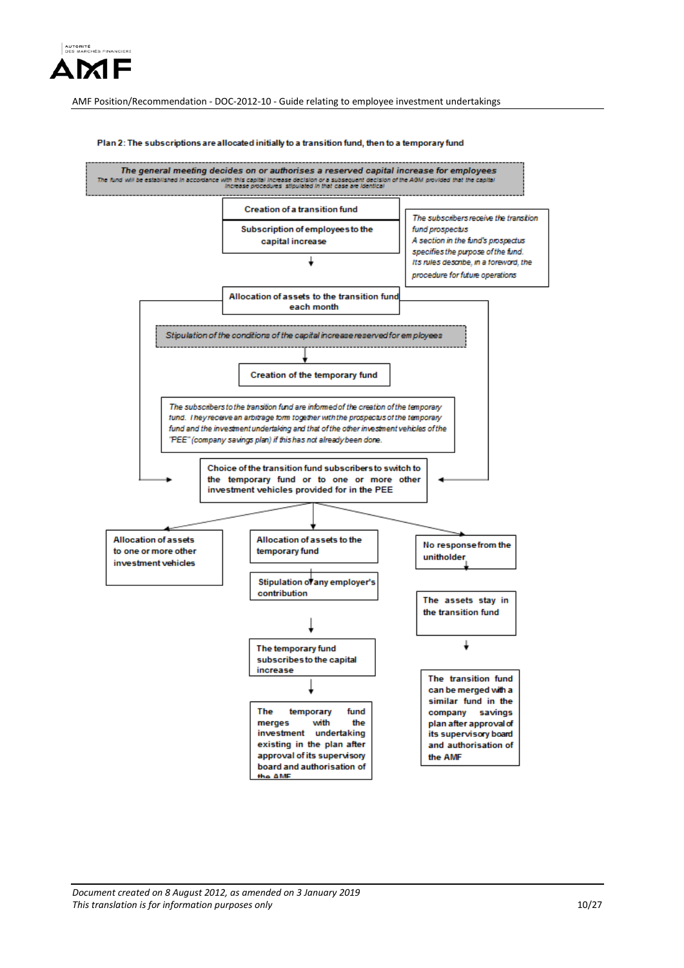

#### Plan 2: The subscriptions are allocated initially to a transition fund, then to a temporary fund

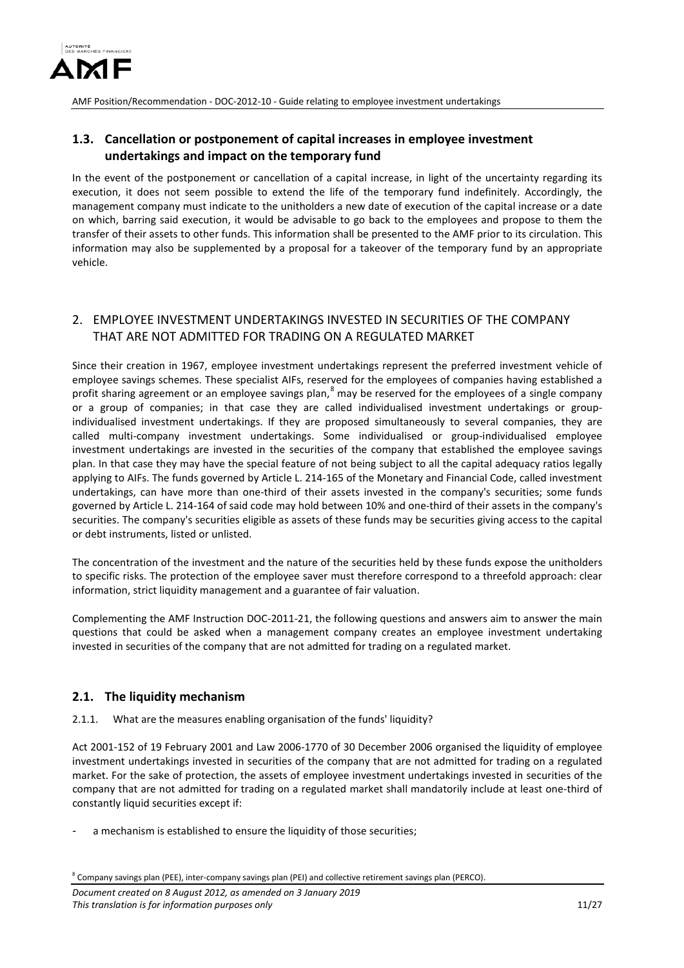

# <span id="page-10-0"></span>**1.3. Cancellation or postponement of capital increases in employee investment undertakings and impact on the temporary fund**

In the event of the postponement or cancellation of a capital increase, in light of the uncertainty regarding its execution, it does not seem possible to extend the life of the temporary fund indefinitely. Accordingly, the management company must indicate to the unitholders a new date of execution of the capital increase or a date on which, barring said execution, it would be advisable to go back to the employees and propose to them the transfer of their assets to other funds. This information shall be presented to the AMF prior to its circulation. This information may also be supplemented by a proposal for a takeover of the temporary fund by an appropriate vehicle.

# <span id="page-10-1"></span>2. EMPLOYEE INVESTMENT UNDERTAKINGS INVESTED IN SECURITIES OF THE COMPANY THAT ARE NOT ADMITTED FOR TRADING ON A REGULATED MARKET

Since their creation in 1967, employee investment undertakings represent the preferred investment vehicle of employee savings schemes. These specialist AIFs, reserved for the employees of companies having established a profit sharing agreement or an employee savings plan, <sup>[8](#page-10-4)</sup> may be reserved for the employees of a single company or a group of companies; in that case they are called individualised investment undertakings or groupindividualised investment undertakings. If they are proposed simultaneously to several companies, they are called multi-company investment undertakings. Some individualised or group-individualised employee investment undertakings are invested in the securities of the company that established the employee savings plan. In that case they may have the special feature of not being subject to all the capital adequacy ratios legally applying to AIFs. The funds governed by Article L. 214-165 of the Monetary and Financial Code, called investment undertakings, can have more than one-third of their assets invested in the company's securities; some funds governed by Article L. 214-164 of said code may hold between 10% and one-third of their assets in the company's securities. The company's securities eligible as assets of these funds may be securities giving access to the capital or debt instruments, listed or unlisted.

The concentration of the investment and the nature of the securities held by these funds expose the unitholders to specific risks. The protection of the employee saver must therefore correspond to a threefold approach: clear information, strict liquidity management and a guarantee of fair valuation.

Complementing the AMF Instruction DOC-2011-21, the following questions and answers aim to answer the main questions that could be asked when a management company creates an employee investment undertaking invested in securities of the company that are not admitted for trading on a regulated market.

## <span id="page-10-2"></span>**2.1. The liquidity mechanism**

<span id="page-10-3"></span>2.1.1. What are the measures enabling organisation of the funds' liquidity?

Act 2001-152 of 19 February 2001 and Law 2006-1770 of 30 December 2006 organised the liquidity of employee investment undertakings invested in securities of the company that are not admitted for trading on a regulated market. For the sake of protection, the assets of employee investment undertakings invested in securities of the company that are not admitted for trading on a regulated market shall mandatorily include at least one-third of constantly liquid securities except if:

a mechanism is established to ensure the liquidity of those securities;

<span id="page-10-4"></span><sup>8</sup> Company savings plan (PEE), inter-company savings plan (PEI) and collective retirement savings plan (PERCO).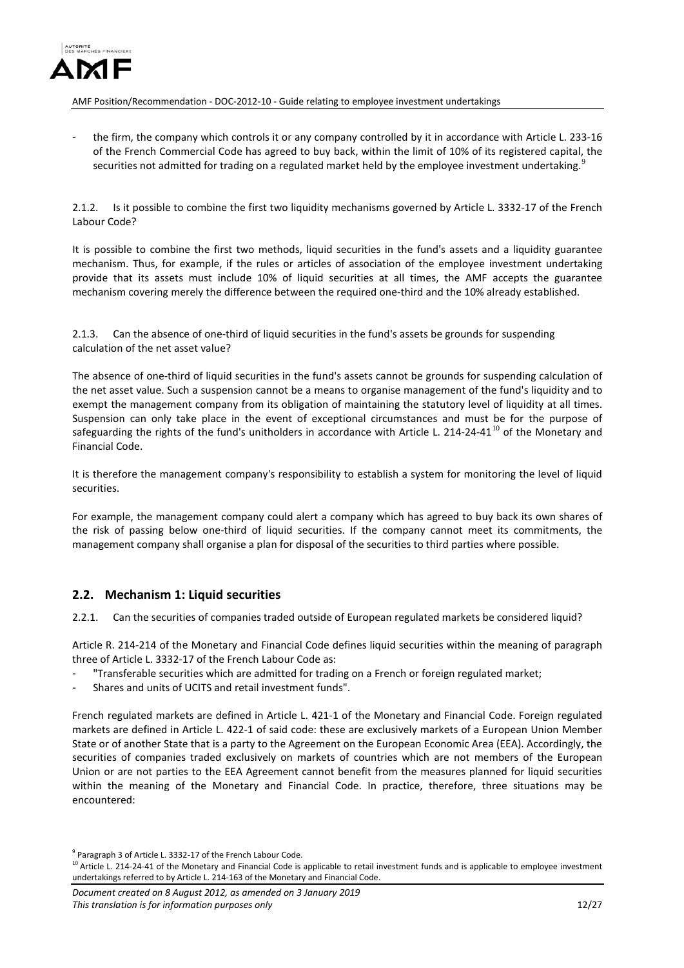

the firm, the company which controls it or any company controlled by it in accordance with Article L. 233-16 of the French Commercial Code has agreed to buy back, within the limit of 10% of its registered capital, the securities not admitted for trading on a regulated market held by the employee investment undertaking.<sup>[9](#page-11-4)</sup>

<span id="page-11-0"></span>2.1.2. Is it possible to combine the first two liquidity mechanisms governed by Article L. 3332-17 of the French Labour Code?

It is possible to combine the first two methods, liquid securities in the fund's assets and a liquidity guarantee mechanism. Thus, for example, if the rules or articles of association of the employee investment undertaking provide that its assets must include 10% of liquid securities at all times, the AMF accepts the guarantee mechanism covering merely the difference between the required one-third and the 10% already established.

<span id="page-11-1"></span>2.1.3. Can the absence of one-third of liquid securities in the fund's assets be grounds for suspending calculation of the net asset value?

The absence of one-third of liquid securities in the fund's assets cannot be grounds for suspending calculation of the net asset value. Such a suspension cannot be a means to organise management of the fund's liquidity and to exempt the management company from its obligation of maintaining the statutory level of liquidity at all times. Suspension can only take place in the event of exceptional circumstances and must be for the purpose of safeguarding the rights of the fund's unitholders in accordance with Article L. 214-24-41<sup>[10](#page-11-5)</sup> of the Monetary and Financial Code.

It is therefore the management company's responsibility to establish a system for monitoring the level of liquid securities.

For example, the management company could alert a company which has agreed to buy back its own shares of the risk of passing below one-third of liquid securities. If the company cannot meet its commitments, the management company shall organise a plan for disposal of the securities to third parties where possible.

## <span id="page-11-2"></span>**2.2. Mechanism 1: Liquid securities**

<span id="page-11-3"></span>2.2.1. Can the securities of companies traded outside of European regulated markets be considered liquid?

Article R. 214-214 of the Monetary and Financial Code defines liquid securities within the meaning of paragraph three of Article L. 3332-17 of the French Labour Code as:

- "Transferable securities which are admitted for trading on a French or foreign regulated market;
- Shares and units of UCITS and retail investment funds".

French regulated markets are defined in Article L. 421-1 of the Monetary and Financial Code. Foreign regulated markets are defined in Article L. 422-1 of said code: these are exclusively markets of a European Union Member State or of another State that is a party to the Agreement on the European Economic Area (EEA). Accordingly, the securities of companies traded exclusively on markets of countries which are not members of the European Union or are not parties to the EEA Agreement cannot benefit from the measures planned for liquid securities within the meaning of the Monetary and Financial Code. In practice, therefore, three situations may be encountered:

<span id="page-11-4"></span><sup>&</sup>lt;sup>9</sup> Paragraph 3 of Article L. 3332-17 of the French Labour Code.

<span id="page-11-5"></span> $10$  Article L. 214-24-41 of the Monetary and Financial Code is applicable to retail investment funds and is applicable to employee investment undertakings referred to by Article L. 214-163 of the Monetary and Financial Code.

*Document created on 8 August 2012, as amended on 3 January 2019 This translation is for information purposes only* 12/27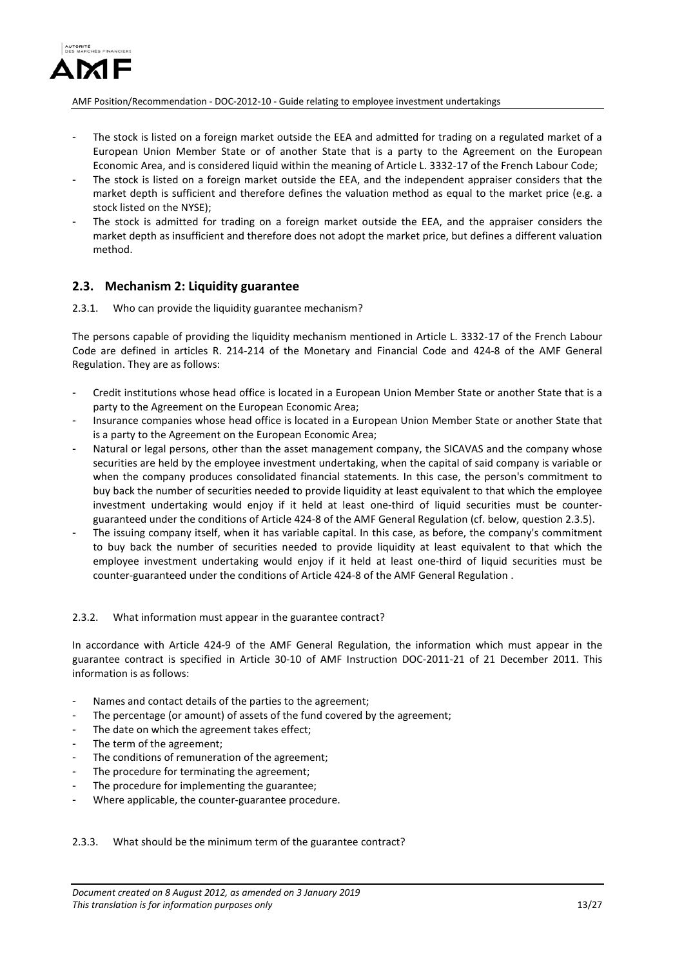

- The stock is listed on a foreign market outside the EEA and admitted for trading on a regulated market of a European Union Member State or of another State that is a party to the Agreement on the European Economic Area, and is considered liquid within the meaning of Article L. 3332-17 of the French Labour Code;
- The stock is listed on a foreign market outside the EEA, and the independent appraiser considers that the market depth is sufficient and therefore defines the valuation method as equal to the market price (e.g. a stock listed on the NYSE);
- The stock is admitted for trading on a foreign market outside the EEA, and the appraiser considers the market depth as insufficient and therefore does not adopt the market price, but defines a different valuation method.

## <span id="page-12-0"></span>**2.3. Mechanism 2: Liquidity guarantee**

<span id="page-12-1"></span>2.3.1. Who can provide the liquidity guarantee mechanism?

The persons capable of providing the liquidity mechanism mentioned in Article L. 3332-17 of the French Labour Code are defined in articles R. 214-214 of the Monetary and Financial Code and 424-8 of the AMF General Regulation. They are as follows:

- Credit institutions whose head office is located in a European Union Member State or another State that is a party to the Agreement on the European Economic Area;
- Insurance companies whose head office is located in a European Union Member State or another State that is a party to the Agreement on the European Economic Area;
- Natural or legal persons, other than the asset management company, the SICAVAS and the company whose securities are held by the employee investment undertaking, when the capital of said company is variable or when the company produces consolidated financial statements. In this case, the person's commitment to buy back the number of securities needed to provide liquidity at least equivalent to that which the employee investment undertaking would enjoy if it held at least one-third of liquid securities must be counterguaranteed under the conditions of Article 424-8 of the AMF General Regulation (cf. below, question 2.3.5).
- The issuing company itself, when it has variable capital. In this case, as before, the company's commitment to buy back the number of securities needed to provide liquidity at least equivalent to that which the employee investment undertaking would enjoy if it held at least one-third of liquid securities must be counter-guaranteed under the conditions of Article 424-8 of the AMF General Regulation .

### <span id="page-12-2"></span>2.3.2. What information must appear in the guarantee contract?

In accordance with Article 424-9 of the AMF General Regulation, the information which must appear in the guarantee contract is specified in Article 30-10 of AMF Instruction DOC-2011-21 of 21 December 2011. This information is as follows:

- Names and contact details of the parties to the agreement;
- The percentage (or amount) of assets of the fund covered by the agreement;
- The date on which the agreement takes effect;
- The term of the agreement;
- The conditions of remuneration of the agreement;
- The procedure for terminating the agreement;
- The procedure for implementing the guarantee;
- Where applicable, the counter-guarantee procedure.

### <span id="page-12-3"></span>2.3.3. What should be the minimum term of the guarantee contract?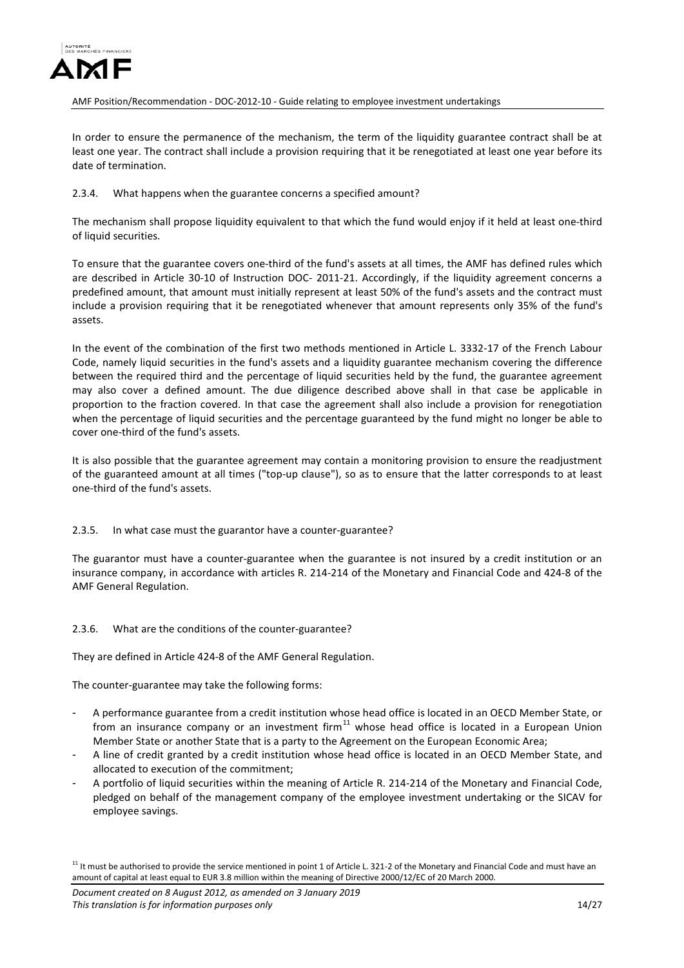

In order to ensure the permanence of the mechanism, the term of the liquidity guarantee contract shall be at least one year. The contract shall include a provision requiring that it be renegotiated at least one year before its date of termination.

### <span id="page-13-0"></span>2.3.4. What happens when the guarantee concerns a specified amount?

The mechanism shall propose liquidity equivalent to that which the fund would enjoy if it held at least one-third of liquid securities.

To ensure that the guarantee covers one-third of the fund's assets at all times, the AMF has defined rules which are described in Article 30-10 of Instruction DOC- 2011-21. Accordingly, if the liquidity agreement concerns a predefined amount, that amount must initially represent at least 50% of the fund's assets and the contract must include a provision requiring that it be renegotiated whenever that amount represents only 35% of the fund's assets.

In the event of the combination of the first two methods mentioned in Article L. 3332-17 of the French Labour Code, namely liquid securities in the fund's assets and a liquidity guarantee mechanism covering the difference between the required third and the percentage of liquid securities held by the fund, the guarantee agreement may also cover a defined amount. The due diligence described above shall in that case be applicable in proportion to the fraction covered. In that case the agreement shall also include a provision for renegotiation when the percentage of liquid securities and the percentage guaranteed by the fund might no longer be able to cover one-third of the fund's assets.

It is also possible that the guarantee agreement may contain a monitoring provision to ensure the readjustment of the guaranteed amount at all times ("top-up clause"), so as to ensure that the latter corresponds to at least one-third of the fund's assets.

### <span id="page-13-1"></span>2.3.5. In what case must the guarantor have a counter-guarantee?

The guarantor must have a counter-guarantee when the guarantee is not insured by a credit institution or an insurance company, in accordance with articles R. 214-214 of the Monetary and Financial Code and 424-8 of the AMF General Regulation.

### <span id="page-13-2"></span>2.3.6. What are the conditions of the counter-guarantee?

They are defined in Article 424-8 of the AMF General Regulation.

The counter-guarantee may take the following forms:

- A performance guarantee from a credit institution whose head office is located in an OECD Member State, or from an insurance company or an investment firm $11$  whose head office is located in a European Union Member State or another State that is a party to the Agreement on the European Economic Area;
- A line of credit granted by a credit institution whose head office is located in an OECD Member State, and allocated to execution of the commitment;
- A portfolio of liquid securities within the meaning of Article R. 214-214 of the Monetary and Financial Code, pledged on behalf of the management company of the employee investment undertaking or the SICAV for employee savings.

<span id="page-13-3"></span> $11$  It must be authorised to provide the service mentioned in point 1 of Article L. 321-2 of the Monetary and Financial Code and must have an amount of capital at least equal to EUR 3.8 million within the meaning of Directive 2000/12/EC of 20 March 2000.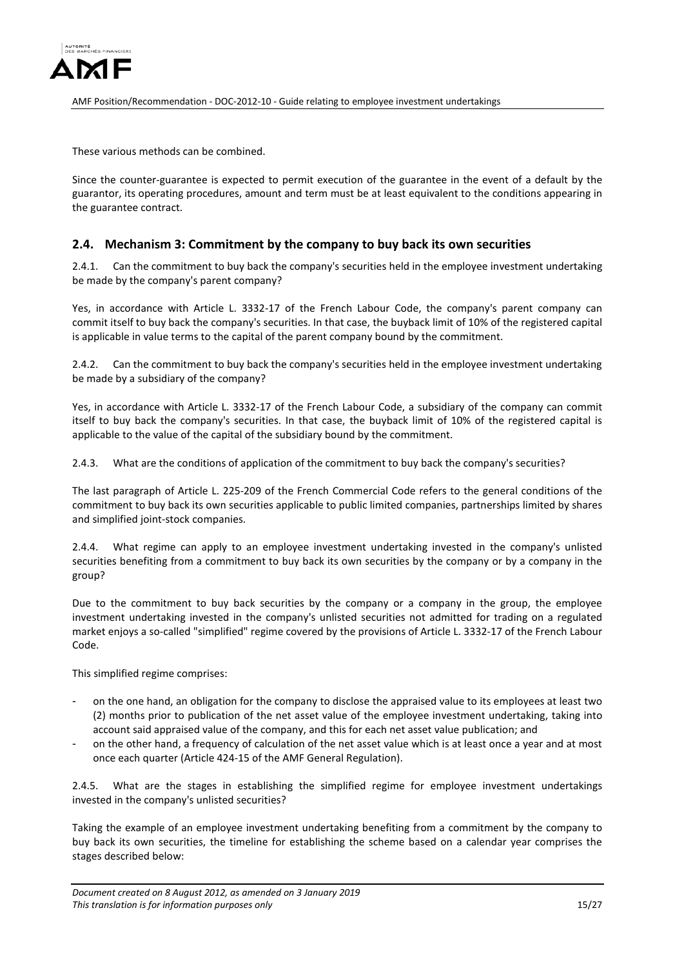

These various methods can be combined.

Since the counter-guarantee is expected to permit execution of the guarantee in the event of a default by the guarantor, its operating procedures, amount and term must be at least equivalent to the conditions appearing in the guarantee contract.

### <span id="page-14-0"></span>**2.4. Mechanism 3: Commitment by the company to buy back its own securities**

<span id="page-14-1"></span>2.4.1. Can the commitment to buy back the company's securities held in the employee investment undertaking be made by the company's parent company?

Yes, in accordance with Article L. 3332-17 of the French Labour Code, the company's parent company can commit itself to buy back the company's securities. In that case, the buyback limit of 10% of the registered capital is applicable in value terms to the capital of the parent company bound by the commitment.

<span id="page-14-2"></span>2.4.2. Can the commitment to buy back the company's securities held in the employee investment undertaking be made by a subsidiary of the company?

Yes, in accordance with Article L. 3332-17 of the French Labour Code, a subsidiary of the company can commit itself to buy back the company's securities. In that case, the buyback limit of 10% of the registered capital is applicable to the value of the capital of the subsidiary bound by the commitment.

<span id="page-14-3"></span>2.4.3. What are the conditions of application of the commitment to buy back the company's securities?

The last paragraph of Article L. 225-209 of the French Commercial Code refers to the general conditions of the commitment to buy back its own securities applicable to public limited companies, partnerships limited by shares and simplified joint-stock companies.

<span id="page-14-4"></span>2.4.4. What regime can apply to an employee investment undertaking invested in the company's unlisted securities benefiting from a commitment to buy back its own securities by the company or by a company in the group?

Due to the commitment to buy back securities by the company or a company in the group, the employee investment undertaking invested in the company's unlisted securities not admitted for trading on a regulated market enjoys a so-called "simplified" regime covered by the provisions of Article L. 3332-17 of the French Labour Code.

This simplified regime comprises:

- on the one hand, an obligation for the company to disclose the appraised value to its employees at least two (2) months prior to publication of the net asset value of the employee investment undertaking, taking into account said appraised value of the company, and this for each net asset value publication; and
- on the other hand, a frequency of calculation of the net asset value which is at least once a year and at most once each quarter (Article 424-15 of the AMF General Regulation).

<span id="page-14-5"></span>2.4.5. What are the stages in establishing the simplified regime for employee investment undertakings invested in the company's unlisted securities?

Taking the example of an employee investment undertaking benefiting from a commitment by the company to buy back its own securities, the timeline for establishing the scheme based on a calendar year comprises the stages described below: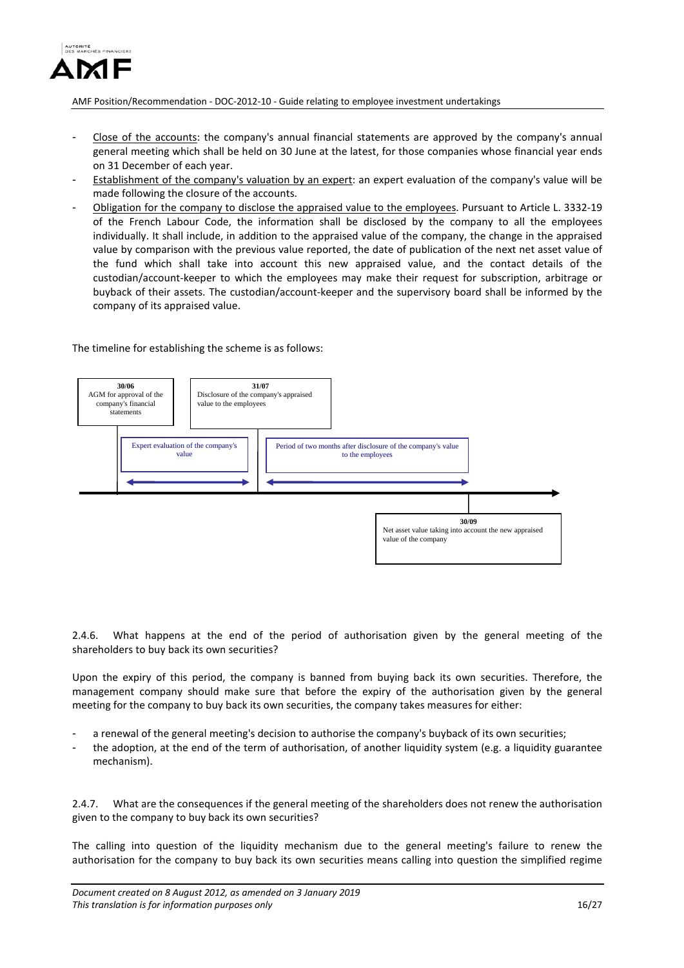

- Close of the accounts: the company's annual financial statements are approved by the company's annual general meeting which shall be held on 30 June at the latest, for those companies whose financial year ends on 31 December of each year.
- Establishment of the company's valuation by an expert: an expert evaluation of the company's value will be made following the closure of the accounts.
- Obligation for the company to disclose the appraised value to the employees. Pursuant to Article L. 3332-19 of the French Labour Code, the information shall be disclosed by the company to all the employees individually. It shall include, in addition to the appraised value of the company, the change in the appraised value by comparison with the previous value reported, the date of publication of the next net asset value of the fund which shall take into account this new appraised value, and the contact details of the custodian/account-keeper to which the employees may make their request for subscription, arbitrage or buyback of their assets. The custodian/account-keeper and the supervisory board shall be informed by the company of its appraised value.

#### The timeline for establishing the scheme is as follows:



<span id="page-15-0"></span>2.4.6. What happens at the end of the period of authorisation given by the general meeting of the shareholders to buy back its own securities?

Upon the expiry of this period, the company is banned from buying back its own securities. Therefore, the management company should make sure that before the expiry of the authorisation given by the general meeting for the company to buy back its own securities, the company takes measures for either:

- a renewal of the general meeting's decision to authorise the company's buyback of its own securities;
- the adoption, at the end of the term of authorisation, of another liquidity system (e.g. a liquidity guarantee mechanism).

<span id="page-15-1"></span>2.4.7. What are the consequences if the general meeting of the shareholders does not renew the authorisation given to the company to buy back its own securities?

The calling into question of the liquidity mechanism due to the general meeting's failure to renew the authorisation for the company to buy back its own securities means calling into question the simplified regime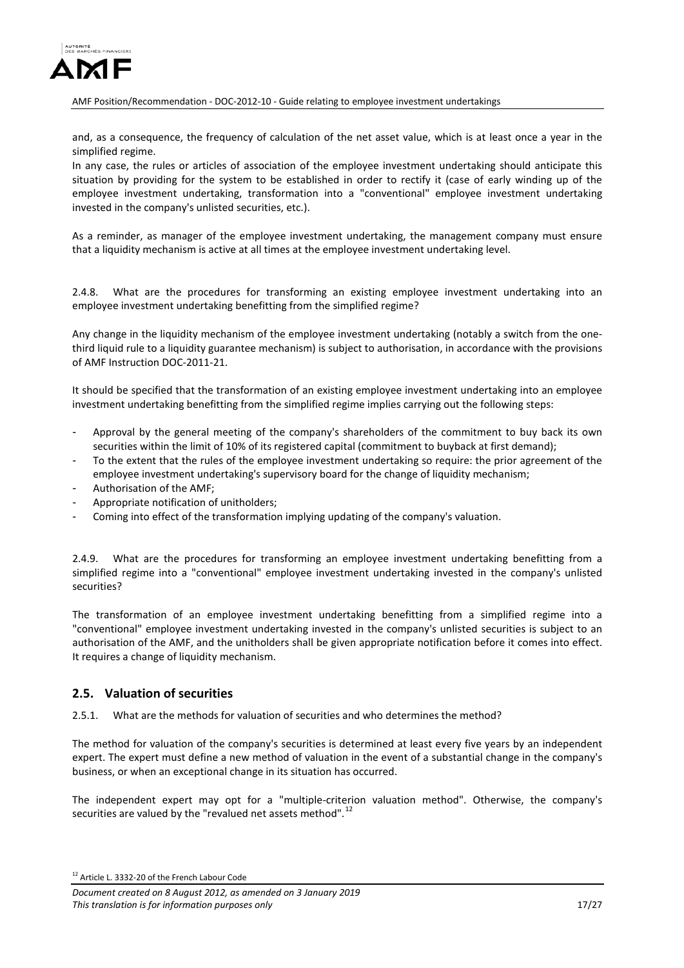

and, as a consequence, the frequency of calculation of the net asset value, which is at least once a year in the simplified regime.

In any case, the rules or articles of association of the employee investment undertaking should anticipate this situation by providing for the system to be established in order to rectify it (case of early winding up of the employee investment undertaking, transformation into a "conventional" employee investment undertaking invested in the company's unlisted securities, etc.).

As a reminder, as manager of the employee investment undertaking, the management company must ensure that a liquidity mechanism is active at all times at the employee investment undertaking level.

<span id="page-16-0"></span>2.4.8. What are the procedures for transforming an existing employee investment undertaking into an employee investment undertaking benefitting from the simplified regime?

Any change in the liquidity mechanism of the employee investment undertaking (notably a switch from the onethird liquid rule to a liquidity guarantee mechanism) is subject to authorisation, in accordance with the provisions of AMF Instruction DOC-2011-21.

It should be specified that the transformation of an existing employee investment undertaking into an employee investment undertaking benefitting from the simplified regime implies carrying out the following steps:

- Approval by the general meeting of the company's shareholders of the commitment to buy back its own securities within the limit of 10% of its registered capital (commitment to buyback at first demand);
- To the extent that the rules of the employee investment undertaking so require: the prior agreement of the employee investment undertaking's supervisory board for the change of liquidity mechanism;
- Authorisation of the AMF;
- Appropriate notification of unitholders:
- Coming into effect of the transformation implying updating of the company's valuation.

<span id="page-16-1"></span>2.4.9. What are the procedures for transforming an employee investment undertaking benefitting from a simplified regime into a "conventional" employee investment undertaking invested in the company's unlisted securities?

The transformation of an employee investment undertaking benefitting from a simplified regime into a "conventional" employee investment undertaking invested in the company's unlisted securities is subject to an authorisation of the AMF, and the unitholders shall be given appropriate notification before it comes into effect. It requires a change of liquidity mechanism.

### <span id="page-16-2"></span>**2.5. Valuation of securities**

<span id="page-16-3"></span>2.5.1. What are the methods for valuation of securities and who determines the method?

The method for valuation of the company's securities is determined at least every five years by an independent expert. The expert must define a new method of valuation in the event of a substantial change in the company's business, or when an exceptional change in its situation has occurred.

The independent expert may opt for a "multiple-criterion valuation method". Otherwise, the company's securities are valued by the "revalued net assets method".  $^{12}$  $^{12}$  $^{12}$ 

<span id="page-16-4"></span><sup>12</sup> Article L. 3332-20 of the French Labour Code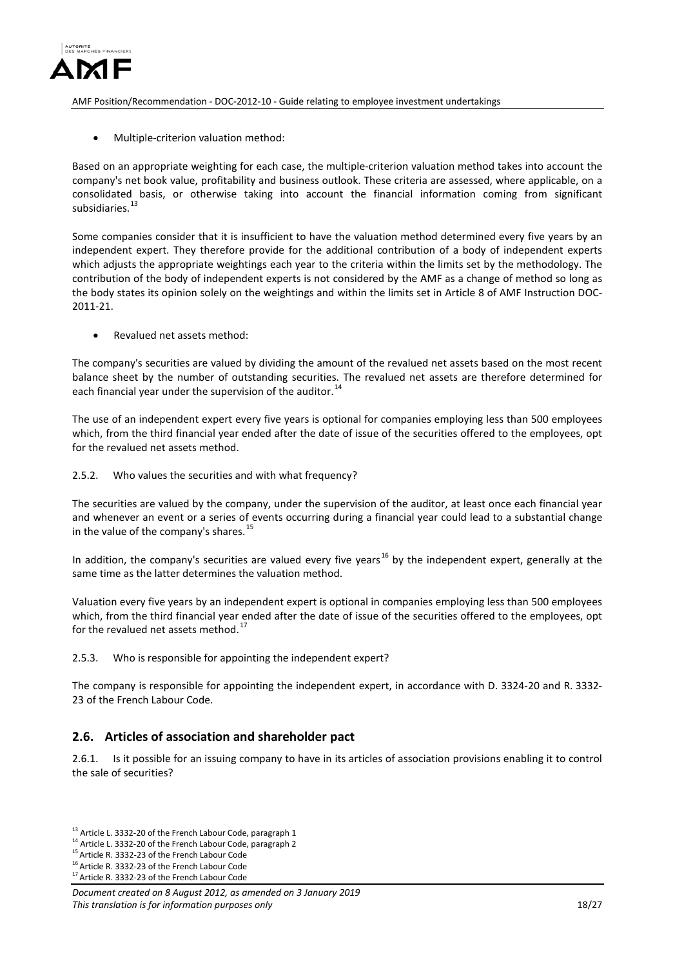

• Multiple-criterion valuation method:

Based on an appropriate weighting for each case, the multiple-criterion valuation method takes into account the company's net book value, profitability and business outlook. These criteria are assessed, where applicable, on a consolidated basis, or otherwise taking into account the financial information coming from significant subsidiaries. [13](#page-17-4)

Some companies consider that it is insufficient to have the valuation method determined every five years by an independent expert. They therefore provide for the additional contribution of a body of independent experts which adjusts the appropriate weightings each year to the criteria within the limits set by the methodology. The contribution of the body of independent experts is not considered by the AMF as a change of method so long as the body states its opinion solely on the weightings and within the limits set in Article 8 of AMF Instruction DOC-2011-21.

• Revalued net assets method:

The company's securities are valued by dividing the amount of the revalued net assets based on the most recent balance sheet by the number of outstanding securities. The revalued net assets are therefore determined for each financial year under the supervision of the auditor.<sup>[14](#page-17-5)</sup>

The use of an independent expert every five years is optional for companies employing less than 500 employees which, from the third financial year ended after the date of issue of the securities offered to the employees, opt for the revalued net assets method.

<span id="page-17-0"></span>2.5.2. Who values the securities and with what frequency?

The securities are valued by the company, under the supervision of the auditor, at least once each financial year and whenever an event or a series of events occurring during a financial year could lead to a substantial change in the value of the company's shares.<sup>[15](#page-17-6)</sup>

In addition, the company's securities are valued every five years<sup>[16](#page-17-7)</sup> by the independent expert, generally at the same time as the latter determines the valuation method.

Valuation every five years by an independent expert is optional in companies employing less than 500 employees which, from the third financial year ended after the date of issue of the securities offered to the employees, opt for the revalued net assets method.<sup>[17](#page-17-8)</sup>

<span id="page-17-1"></span>2.5.3. Who is responsible for appointing the independent expert?

The company is responsible for appointing the independent expert, in accordance with D. 3324-20 and R. 3332- 23 of the French Labour Code.

## <span id="page-17-2"></span>**2.6. Articles of association and shareholder pact**

<span id="page-17-3"></span>2.6.1. Is it possible for an issuing company to have in its articles of association provisions enabling it to control the sale of securities?

<span id="page-17-4"></span><sup>&</sup>lt;sup>13</sup> Article L. 3332-20 of the French Labour Code, paragraph 1<br><sup>14</sup> Article L. 3332-20 of the French Labour Code, paragraph 2<br><sup>15</sup> Article R. 3332-23 of the French Labour Code

<span id="page-17-5"></span>

<span id="page-17-6"></span>

<span id="page-17-7"></span><sup>&</sup>lt;sup>16</sup> Article R. 3332-23 of the French Labour Code  $17$  Article R. 3332-23 of the French Labour Code

<span id="page-17-8"></span>

*Document created on 8 August 2012, as amended on 3 January 2019 This translation is for information purposes only* 18/27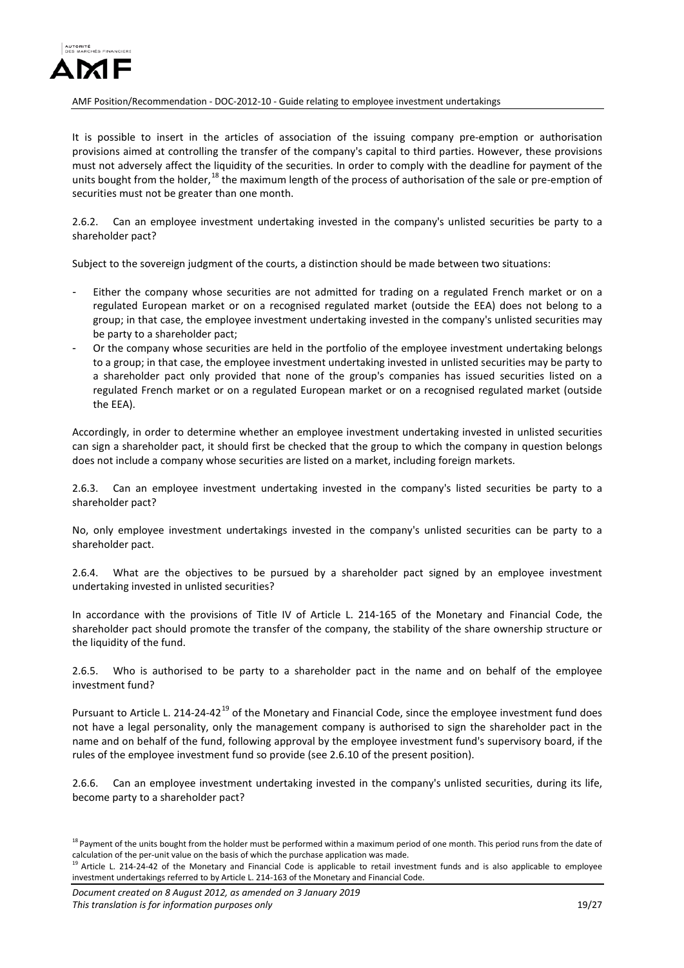

It is possible to insert in the articles of association of the issuing company pre-emption or authorisation provisions aimed at controlling the transfer of the company's capital to third parties. However, these provisions must not adversely affect the liquidity of the securities. In order to comply with the deadline for payment of the units bought from the holder,<sup>[18](#page-18-1)</sup> the maximum length of the process of authorisation of the sale or pre-emption of securities must not be greater than one month.

<span id="page-18-0"></span>2.6.2. Can an employee investment undertaking invested in the company's unlisted securities be party to a shareholder pact?

Subject to the sovereign judgment of the courts, a distinction should be made between two situations:

- Either the company whose securities are not admitted for trading on a regulated French market or on a regulated European market or on a recognised regulated market (outside the EEA) does not belong to a group; in that case, the employee investment undertaking invested in the company's unlisted securities may be party to a shareholder pact;
- Or the company whose securities are held in the portfolio of the employee investment undertaking belongs to a group; in that case, the employee investment undertaking invested in unlisted securities may be party to a shareholder pact only provided that none of the group's companies has issued securities listed on a regulated French market or on a regulated European market or on a recognised regulated market (outside the EEA).

Accordingly, in order to determine whether an employee investment undertaking invested in unlisted securities can sign a shareholder pact, it should first be checked that the group to which the company in question belongs does not include a company whose securities are listed on a market, including foreign markets.

2.6.3. Can an employee investment undertaking invested in the company's listed securities be party to a shareholder pact?

No, only employee investment undertakings invested in the company's unlisted securities can be party to a shareholder pact.

2.6.4. What are the objectives to be pursued by a shareholder pact signed by an employee investment undertaking invested in unlisted securities?

In accordance with the provisions of Title IV of Article L. 214-165 of the Monetary and Financial Code, the shareholder pact should promote the transfer of the company, the stability of the share ownership structure or the liquidity of the fund.

2.6.5. Who is authorised to be party to a shareholder pact in the name and on behalf of the employee investment fund?

Pursuant to Article L. 214-24-42<sup>[19](#page-18-2)</sup> of the Monetary and Financial Code, since the employee investment fund does not have a legal personality, only the management company is authorised to sign the shareholder pact in the name and on behalf of the fund, following approval by the employee investment fund's supervisory board, if the rules of the employee investment fund so provide (see 2.6.10 of the present position).

2.6.6. Can an employee investment undertaking invested in the company's unlisted securities, during its life, become party to a shareholder pact?

<span id="page-18-1"></span><sup>&</sup>lt;sup>18</sup> Payment of the units bought from the holder must be performed within a maximum period of one month. This period runs from the date of calculation of the per-unit value on the basis of which the purchase application was made.

<span id="page-18-2"></span>Article L. 214-24-42 of the Monetary and Financial Code is applicable to retail investment funds and is also applicable to employee investment undertakings referred to by Article L. 214-163 of the Monetary and Financial Code.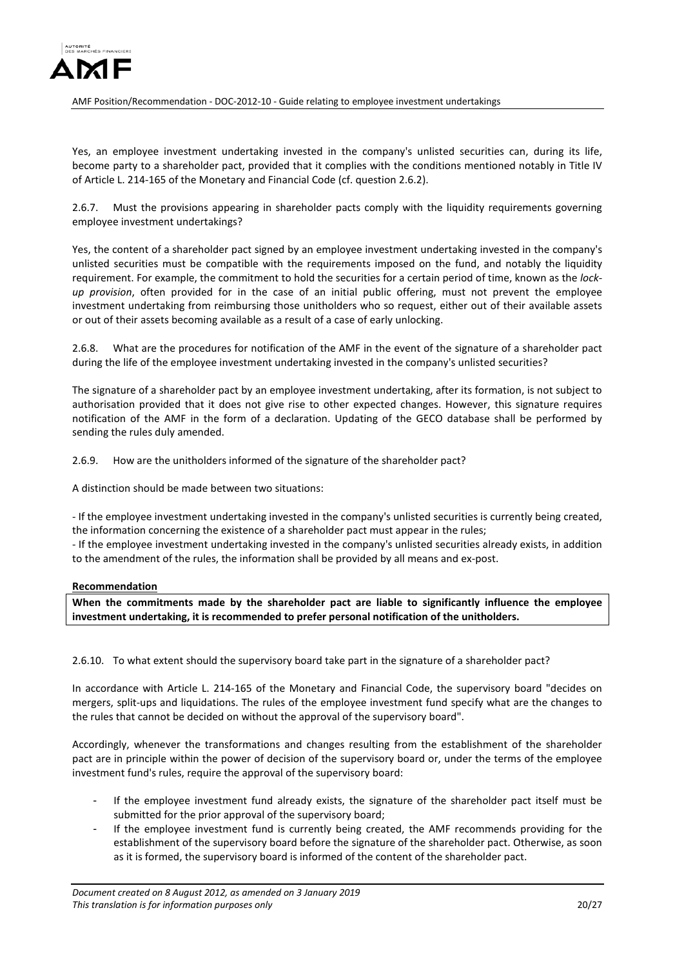

Yes, an employee investment undertaking invested in the company's unlisted securities can, during its life, become party to a shareholder pact, provided that it complies with the conditions mentioned notably in Title IV of Article L. 214-165 of the Monetary and Financial Code (cf. question 2.6.2).

<span id="page-19-0"></span>2.6.7. Must the provisions appearing in shareholder pacts comply with the liquidity requirements governing employee investment undertakings?

Yes, the content of a shareholder pact signed by an employee investment undertaking invested in the company's unlisted securities must be compatible with the requirements imposed on the fund, and notably the liquidity requirement. For example, the commitment to hold the securities for a certain period of time, known as the *lockup provision*, often provided for in the case of an initial public offering, must not prevent the employee investment undertaking from reimbursing those unitholders who so request, either out of their available assets or out of their assets becoming available as a result of a case of early unlocking.

<span id="page-19-1"></span>2.6.8. What are the procedures for notification of the AMF in the event of the signature of a shareholder pact during the life of the employee investment undertaking invested in the company's unlisted securities?

The signature of a shareholder pact by an employee investment undertaking, after its formation, is not subject to authorisation provided that it does not give rise to other expected changes. However, this signature requires notification of the AMF in the form of a declaration. Updating of the GECO database shall be performed by sending the rules duly amended.

<span id="page-19-2"></span>2.6.9. How are the unitholders informed of the signature of the shareholder pact?

A distinction should be made between two situations:

- If the employee investment undertaking invested in the company's unlisted securities is currently being created, the information concerning the existence of a shareholder pact must appear in the rules;

- If the employee investment undertaking invested in the company's unlisted securities already exists, in addition to the amendment of the rules, the information shall be provided by all means and ex-post.

### **Recommendation**

**When the commitments made by the shareholder pact are liable to significantly influence the employee investment undertaking, it is recommended to prefer personal notification of the unitholders.**

<span id="page-19-3"></span>2.6.10. To what extent should the supervisory board take part in the signature of a shareholder pact?

In accordance with Article L. 214-165 of the Monetary and Financial Code, the supervisory board "decides on mergers, split-ups and liquidations. The rules of the employee investment fund specify what are the changes to the rules that cannot be decided on without the approval of the supervisory board".

Accordingly, whenever the transformations and changes resulting from the establishment of the shareholder pact are in principle within the power of decision of the supervisory board or, under the terms of the employee investment fund's rules, require the approval of the supervisory board:

- If the employee investment fund already exists, the signature of the shareholder pact itself must be submitted for the prior approval of the supervisory board;
- If the employee investment fund is currently being created, the AMF recommends providing for the establishment of the supervisory board before the signature of the shareholder pact. Otherwise, as soon as it is formed, the supervisory board is informed of the content of the shareholder pact.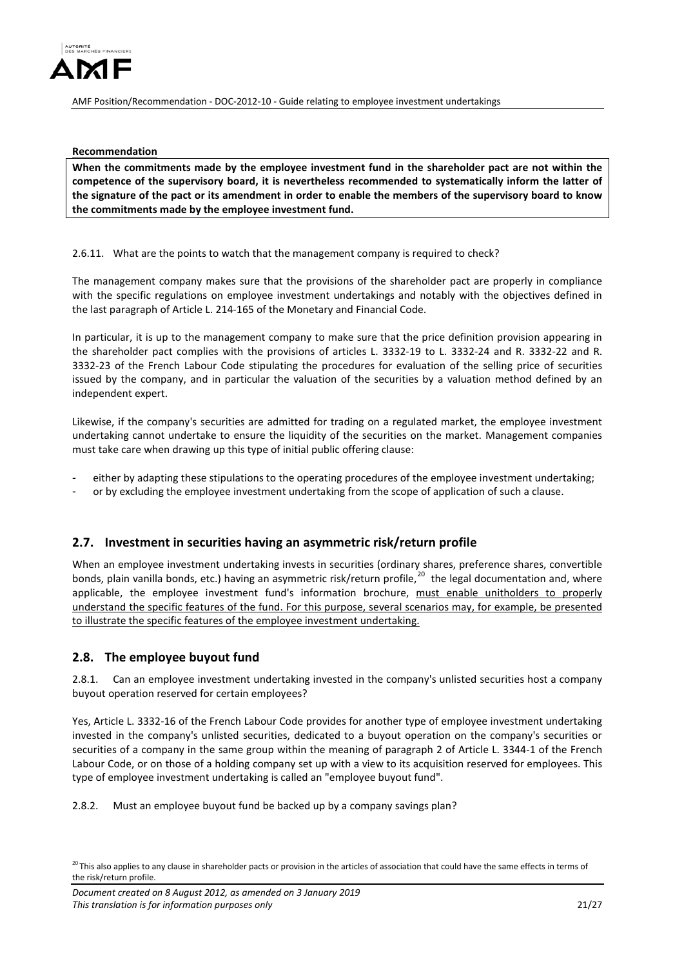

**Recommendation**

**When the commitments made by the employee investment fund in the shareholder pact are not within the competence of the supervisory board, it is nevertheless recommended to systematically inform the latter of the signature of the pact or its amendment in order to enable the members of the supervisory board to know the commitments made by the employee investment fund.**

<span id="page-20-0"></span>2.6.11. What are the points to watch that the management company is required to check?

The management company makes sure that the provisions of the shareholder pact are properly in compliance with the specific regulations on employee investment undertakings and notably with the objectives defined in the last paragraph of Article L. 214-165 of the Monetary and Financial Code.

In particular, it is up to the management company to make sure that the price definition provision appearing in the shareholder pact complies with the provisions of articles L. 3332-19 to L. 3332-24 and R. 3332-22 and R. 3332-23 of the French Labour Code stipulating the procedures for evaluation of the selling price of securities issued by the company, and in particular the valuation of the securities by a valuation method defined by an independent expert.

Likewise, if the company's securities are admitted for trading on a regulated market, the employee investment undertaking cannot undertake to ensure the liquidity of the securities on the market. Management companies must take care when drawing up this type of initial public offering clause:

either by adapting these stipulations to the operating procedures of the employee investment undertaking;

or by excluding the employee investment undertaking from the scope of application of such a clause.

## <span id="page-20-1"></span>**2.7. Investment in securities having an asymmetric risk/return profile**

When an employee investment undertaking invests in securities (ordinary shares, preference shares, convertible bonds, plain vanilla bonds, etc.) having an asymmetric risk/return profile,<sup>20</sup> the legal documentation and, where applicable, the employee investment fund's information brochure, must enable unitholders to properly understand the specific features of the fund. For this purpose, several scenarios may, for example, be presented to illustrate the specific features of the employee investment undertaking.

## <span id="page-20-2"></span>**2.8. The employee buyout fund**

<span id="page-20-3"></span>2.8.1. Can an employee investment undertaking invested in the company's unlisted securities host a company buyout operation reserved for certain employees?

Yes, Article L. 3332-16 of the French Labour Code provides for another type of employee investment undertaking invested in the company's unlisted securities, dedicated to a buyout operation on the company's securities or securities of a company in the same group within the meaning of paragraph 2 of Article L. 3344-1 of the French Labour Code, or on those of a holding company set up with a view to its acquisition reserved for employees. This type of employee investment undertaking is called an "employee buyout fund".

<span id="page-20-4"></span>2.8.2. Must an employee buyout fund be backed up by a company savings plan?

<span id="page-20-5"></span> $^{20}$ This also applies to any clause in shareholder pacts or provision in the articles of association that could have the same effects in terms of the risk/return profile.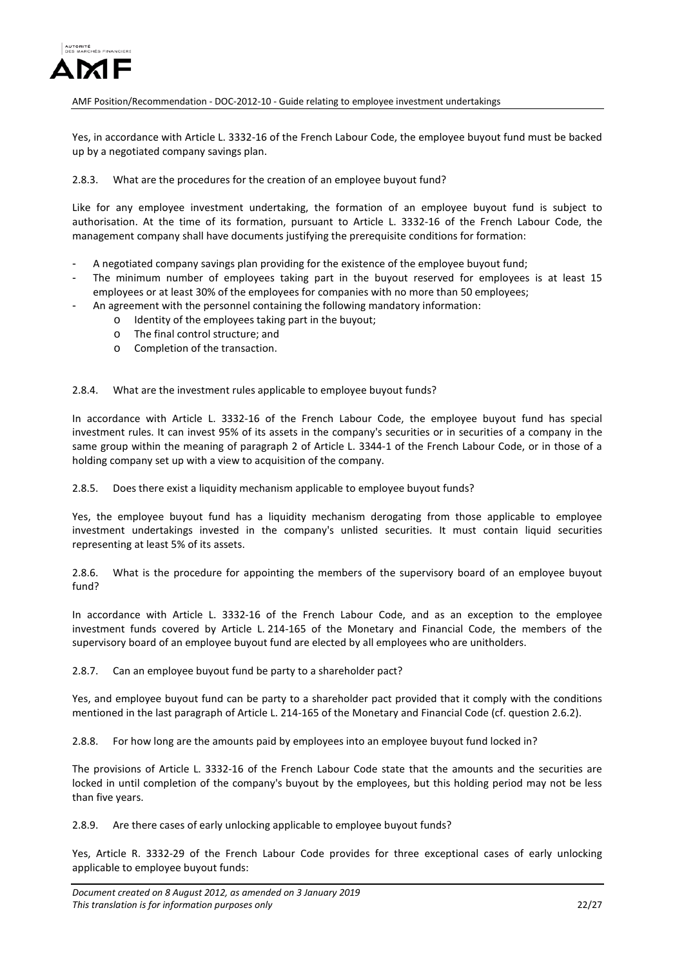

Yes, in accordance with Article L. 3332-16 of the French Labour Code, the employee buyout fund must be backed up by a negotiated company savings plan.

### <span id="page-21-0"></span>2.8.3. What are the procedures for the creation of an employee buyout fund?

Like for any employee investment undertaking, the formation of an employee buyout fund is subject to authorisation. At the time of its formation, pursuant to Article L. 3332-16 of the French Labour Code, the management company shall have documents justifying the prerequisite conditions for formation:

- A negotiated company savings plan providing for the existence of the employee buyout fund;
- The minimum number of employees taking part in the buyout reserved for employees is at least 15 employees or at least 30% of the employees for companies with no more than 50 employees;
- An agreement with the personnel containing the following mandatory information:
	- o Identity of the employees taking part in the buyout;
	- o The final control structure; and
	- o Completion of the transaction.

<span id="page-21-1"></span>2.8.4. What are the investment rules applicable to employee buyout funds?

In accordance with Article L. 3332-16 of the French Labour Code, the employee buyout fund has special investment rules. It can invest 95% of its assets in the company's securities or in securities of a company in the same group within the meaning of paragraph 2 of Article L. 3344-1 of the French Labour Code, or in those of a holding company set up with a view to acquisition of the company.

2.8.5. Does there exist a liquidity mechanism applicable to employee buyout funds?

Yes, the employee buyout fund has a liquidity mechanism derogating from those applicable to employee investment undertakings invested in the company's unlisted securities. It must contain liquid securities representing at least 5% of its assets.

<span id="page-21-2"></span>2.8.6. What is the procedure for appointing the members of the supervisory board of an employee buyout fund?

In accordance with Article L. 3332-16 of the French Labour Code, and as an exception to the employee investment funds covered by Article L. 214-165 of the Monetary and Financial Code, the members of the supervisory board of an employee buyout fund are elected by all employees who are unitholders.

<span id="page-21-3"></span>2.8.7. Can an employee buyout fund be party to a shareholder pact?

Yes, and employee buyout fund can be party to a shareholder pact provided that it comply with the conditions mentioned in the last paragraph of Article L. 214-165 of the Monetary and Financial Code (cf. question 2.6.2).

<span id="page-21-4"></span>2.8.8. For how long are the amounts paid by employees into an employee buyout fund locked in?

The provisions of Article L. 3332-16 of the French Labour Code state that the amounts and the securities are locked in until completion of the company's buyout by the employees, but this holding period may not be less than five years.

<span id="page-21-5"></span>2.8.9. Are there cases of early unlocking applicable to employee buyout funds?

Yes, Article R. 3332-29 of the French Labour Code provides for three exceptional cases of early unlocking applicable to employee buyout funds: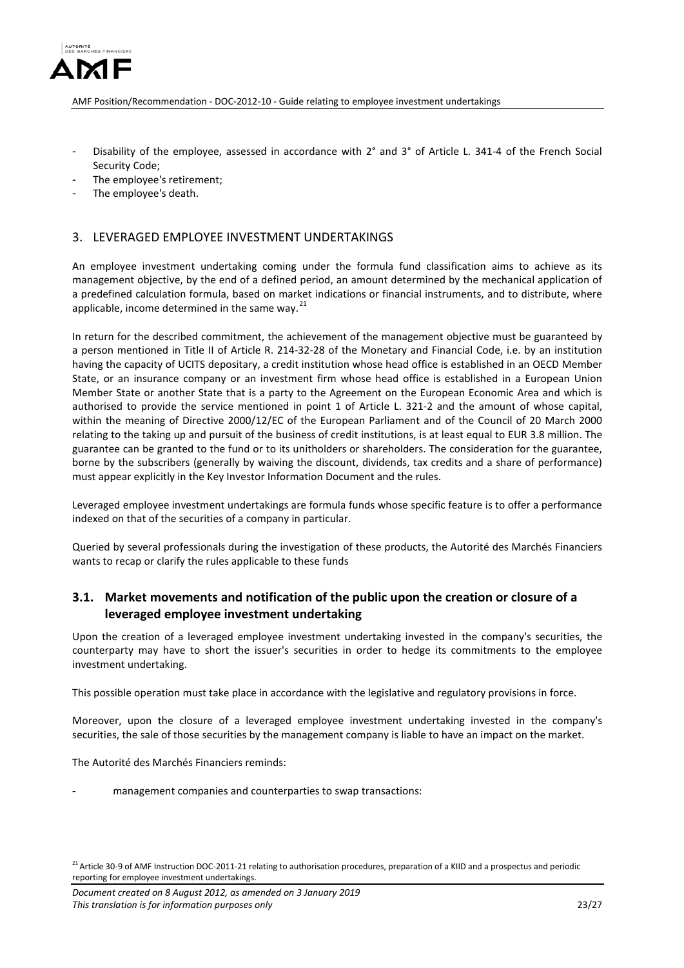

- Disability of the employee, assessed in accordance with 2° and 3° of Article L. 341-4 of the French Social Security Code;
- The employee's retirement;
- The employee's death.

### <span id="page-22-0"></span>3. LEVERAGED EMPLOYEE INVESTMENT UNDERTAKINGS

An employee investment undertaking coming under the formula fund classification aims to achieve as its management objective, by the end of a defined period, an amount determined by the mechanical application of a predefined calculation formula, based on market indications or financial instruments, and to distribute, where applicable, income determined in the same way.<sup>[21](#page-22-2)</sup>

In return for the described commitment, the achievement of the management objective must be guaranteed by a person mentioned in Title II of Article R. 214-32-28 of the Monetary and Financial Code, i.e. by an institution having the capacity of UCITS depositary, a credit institution whose head office is established in an OECD Member State, or an insurance company or an investment firm whose head office is established in a European Union Member State or another State that is a party to the Agreement on the European Economic Area and which is authorised to provide the service mentioned in point 1 of Article L. 321-2 and the amount of whose capital, within the meaning of Directive 2000/12/EC of the European Parliament and of the Council of 20 March 2000 relating to the taking up and pursuit of the business of credit institutions, is at least equal to EUR 3.8 million. The guarantee can be granted to the fund or to its unitholders or shareholders. The consideration for the guarantee, borne by the subscribers (generally by waiving the discount, dividends, tax credits and a share of performance) must appear explicitly in the Key Investor Information Document and the rules.

Leveraged employee investment undertakings are formula funds whose specific feature is to offer a performance indexed on that of the securities of a company in particular.

Queried by several professionals during the investigation of these products, the Autorité des Marchés Financiers wants to recap or clarify the rules applicable to these funds

# <span id="page-22-1"></span>**3.1. Market movements and notification of the public upon the creation or closure of a leveraged employee investment undertaking**

Upon the creation of a leveraged employee investment undertaking invested in the company's securities, the counterparty may have to short the issuer's securities in order to hedge its commitments to the employee investment undertaking.

This possible operation must take place in accordance with the legislative and regulatory provisions in force.

Moreover, upon the closure of a leveraged employee investment undertaking invested in the company's securities, the sale of those securities by the management company is liable to have an impact on the market.

The Autorité des Marchés Financiers reminds:

management companies and counterparties to swap transactions:

<span id="page-22-2"></span><sup>&</sup>lt;sup>21</sup> Article 30-9 of AMF Instruction DOC-2011-21 relating to authorisation procedures, preparation of a KIID and a prospectus and periodic reporting for employee investment undertakings.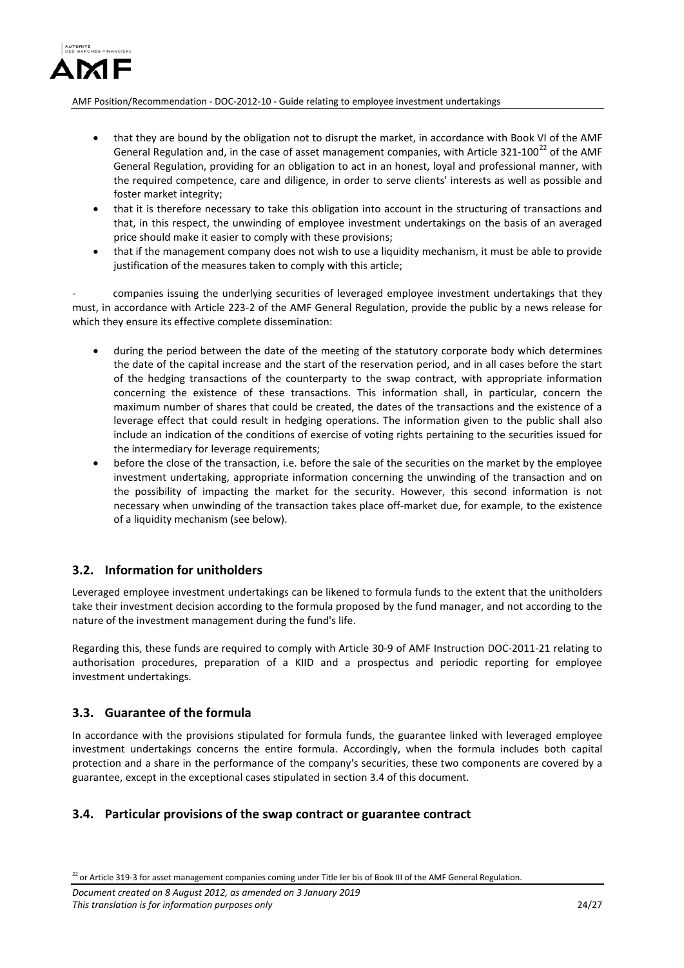

- that they are bound by the obligation not to disrupt the market, in accordance with Book VI of the AMF General Regulation and, in the case of asset management companies, with Article 321-100<sup>[22](#page-23-3)</sup> of the AMF General Regulation, providing for an obligation to act in an honest, loyal and professional manner, with the required competence, care and diligence, in order to serve clients' interests as well as possible and foster market integrity;
- that it is therefore necessary to take this obligation into account in the structuring of transactions and that, in this respect, the unwinding of employee investment undertakings on the basis of an averaged price should make it easier to comply with these provisions;
- that if the management company does not wish to use a liquidity mechanism, it must be able to provide justification of the measures taken to comply with this article;

- companies issuing the underlying securities of leveraged employee investment undertakings that they must, in accordance with Article 223-2 of the AMF General Regulation, provide the public by a news release for which they ensure its effective complete dissemination:

- during the period between the date of the meeting of the statutory corporate body which determines the date of the capital increase and the start of the reservation period, and in all cases before the start of the hedging transactions of the counterparty to the swap contract, with appropriate information concerning the existence of these transactions. This information shall, in particular, concern the maximum number of shares that could be created, the dates of the transactions and the existence of a leverage effect that could result in hedging operations. The information given to the public shall also include an indication of the conditions of exercise of voting rights pertaining to the securities issued for the intermediary for leverage requirements;
- before the close of the transaction, i.e. before the sale of the securities on the market by the employee investment undertaking, appropriate information concerning the unwinding of the transaction and on the possibility of impacting the market for the security. However, this second information is not necessary when unwinding of the transaction takes place off-market due, for example, to the existence of a liquidity mechanism (see below).

## <span id="page-23-0"></span>**3.2. Information for unitholders**

Leveraged employee investment undertakings can be likened to formula funds to the extent that the unitholders take their investment decision according to the formula proposed by the fund manager, and not according to the nature of the investment management during the fund's life.

Regarding this, these funds are required to comply with Article 30-9 of AMF Instruction DOC-2011-21 relating to authorisation procedures, preparation of a KIID and a prospectus and periodic reporting for employee investment undertakings.

### <span id="page-23-1"></span>**3.3. Guarantee of the formula**

In accordance with the provisions stipulated for formula funds, the guarantee linked with leveraged employee investment undertakings concerns the entire formula. Accordingly, when the formula includes both capital protection and a share in the performance of the company's securities, these two components are covered by a guarantee, except in the exceptional cases stipulated in section 3.4 of this document.

### <span id="page-23-2"></span>**3.4. Particular provisions of the swap contract or guarantee contract**

<span id="page-23-3"></span> $22$  or Article 319-3 for asset management companies coming under Title Ier bis of Book III of the AMF General Regulation.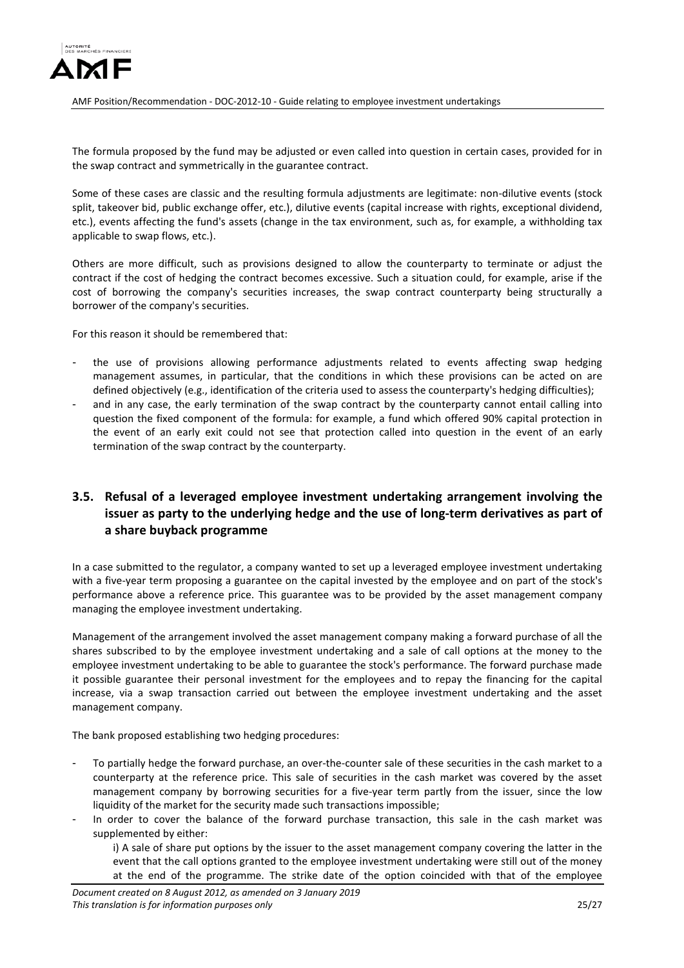

The formula proposed by the fund may be adjusted or even called into question in certain cases, provided for in the swap contract and symmetrically in the guarantee contract.

Some of these cases are classic and the resulting formula adjustments are legitimate: non-dilutive events (stock split, takeover bid, public exchange offer, etc.), dilutive events (capital increase with rights, exceptional dividend, etc.), events affecting the fund's assets (change in the tax environment, such as, for example, a withholding tax applicable to swap flows, etc.).

Others are more difficult, such as provisions designed to allow the counterparty to terminate or adjust the contract if the cost of hedging the contract becomes excessive. Such a situation could, for example, arise if the cost of borrowing the company's securities increases, the swap contract counterparty being structurally a borrower of the company's securities.

For this reason it should be remembered that:

- the use of provisions allowing performance adjustments related to events affecting swap hedging management assumes, in particular, that the conditions in which these provisions can be acted on are defined objectively (e.g., identification of the criteria used to assess the counterparty's hedging difficulties);
- and in any case, the early termination of the swap contract by the counterparty cannot entail calling into question the fixed component of the formula: for example, a fund which offered 90% capital protection in the event of an early exit could not see that protection called into question in the event of an early termination of the swap contract by the counterparty.

# <span id="page-24-0"></span>**3.5. Refusal of a leveraged employee investment undertaking arrangement involving the issuer as party to the underlying hedge and the use of long-term derivatives as part of a share buyback programme**

In a case submitted to the regulator, a company wanted to set up a leveraged employee investment undertaking with a five-year term proposing a guarantee on the capital invested by the employee and on part of the stock's performance above a reference price. This guarantee was to be provided by the asset management company managing the employee investment undertaking.

Management of the arrangement involved the asset management company making a forward purchase of all the shares subscribed to by the employee investment undertaking and a sale of call options at the money to the employee investment undertaking to be able to guarantee the stock's performance. The forward purchase made it possible guarantee their personal investment for the employees and to repay the financing for the capital increase, via a swap transaction carried out between the employee investment undertaking and the asset management company.

The bank proposed establishing two hedging procedures:

- To partially hedge the forward purchase, an over-the-counter sale of these securities in the cash market to a counterparty at the reference price. This sale of securities in the cash market was covered by the asset management company by borrowing securities for a five-year term partly from the issuer, since the low liquidity of the market for the security made such transactions impossible;
- In order to cover the balance of the forward purchase transaction, this sale in the cash market was supplemented by either:

i) A sale of share put options by the issuer to the asset management company covering the latter in the event that the call options granted to the employee investment undertaking were still out of the money at the end of the programme. The strike date of the option coincided with that of the employee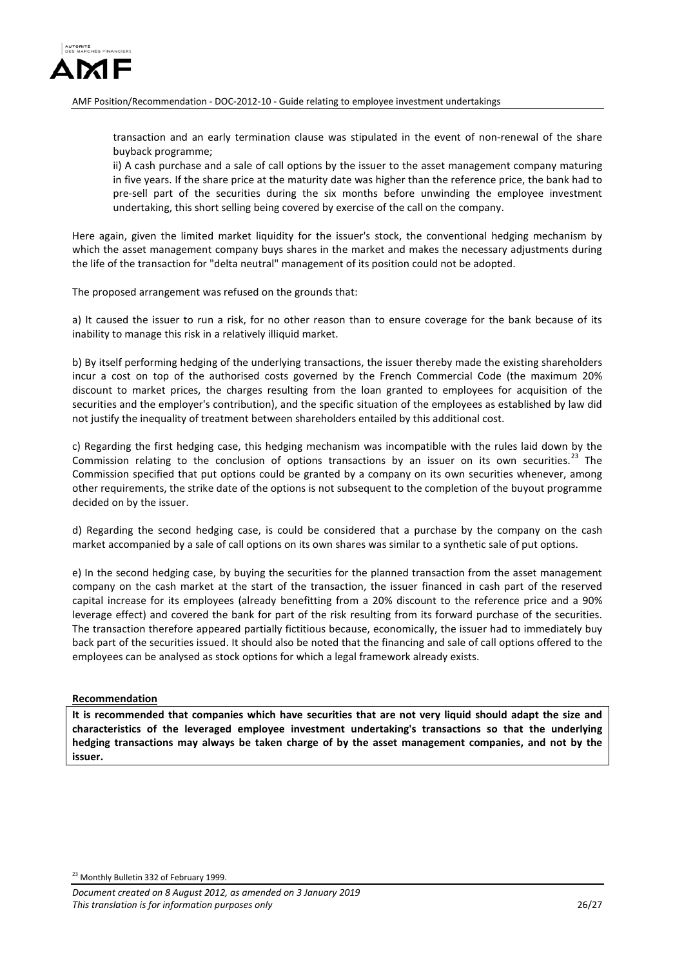

transaction and an early termination clause was stipulated in the event of non-renewal of the share buyback programme;

ii) A cash purchase and a sale of call options by the issuer to the asset management company maturing in five years. If the share price at the maturity date was higher than the reference price, the bank had to pre-sell part of the securities during the six months before unwinding the employee investment undertaking, this short selling being covered by exercise of the call on the company.

Here again, given the limited market liquidity for the issuer's stock, the conventional hedging mechanism by which the asset management company buys shares in the market and makes the necessary adjustments during the life of the transaction for "delta neutral" management of its position could not be adopted.

The proposed arrangement was refused on the grounds that:

a) It caused the issuer to run a risk, for no other reason than to ensure coverage for the bank because of its inability to manage this risk in a relatively illiquid market.

b) By itself performing hedging of the underlying transactions, the issuer thereby made the existing shareholders incur a cost on top of the authorised costs governed by the French Commercial Code (the maximum 20% discount to market prices, the charges resulting from the loan granted to employees for acquisition of the securities and the employer's contribution), and the specific situation of the employees as established by law did not justify the inequality of treatment between shareholders entailed by this additional cost.

c) Regarding the first hedging case, this hedging mechanism was incompatible with the rules laid down by the Commission relating to the conclusion of options transactions by an issuer on its own securities.<sup>[23](#page-25-0)</sup> The Commission specified that put options could be granted by a company on its own securities whenever, among other requirements, the strike date of the options is not subsequent to the completion of the buyout programme decided on by the issuer.

d) Regarding the second hedging case, is could be considered that a purchase by the company on the cash market accompanied by a sale of call options on its own shares was similar to a synthetic sale of put options.

e) In the second hedging case, by buying the securities for the planned transaction from the asset management company on the cash market at the start of the transaction, the issuer financed in cash part of the reserved capital increase for its employees (already benefitting from a 20% discount to the reference price and a 90% leverage effect) and covered the bank for part of the risk resulting from its forward purchase of the securities. The transaction therefore appeared partially fictitious because, economically, the issuer had to immediately buy back part of the securities issued. It should also be noted that the financing and sale of call options offered to the employees can be analysed as stock options for which a legal framework already exists.

### **Recommendation**

<span id="page-25-0"></span>**It is recommended that companies which have securities that are not very liquid should adapt the size and characteristics of the leveraged employee investment undertaking's transactions so that the underlying hedging transactions may always be taken charge of by the asset management companies, and not by the issuer.**